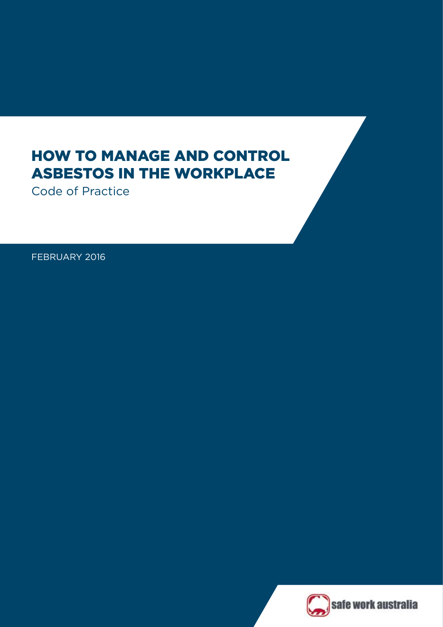# HOW TO MANAGE AND CONTROL ASBESTOS IN THE WORKPLACE

Code of Practice

FEBRUARY 2016



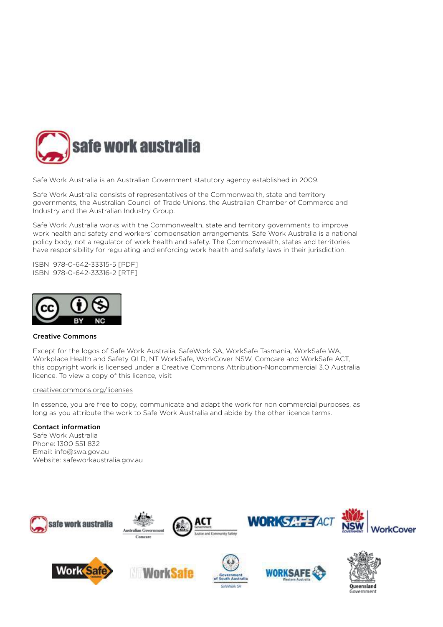

Safe Work Australia is an Australian Government statutory agency established in 2009.

Safe Work Australia consists of representatives of the Commonwealth, state and territory governments, the Australian Council of Trade Unions, the Australian Chamber of Commerce and Industry and the Australian Industry Group.

Safe Work Australia works with the Commonwealth, state and territory governments to improve work health and safety and workers' compensation arrangements. Safe Work Australia is a national policy body, not a regulator of work health and safety. The Commonwealth, states and territories have responsibility for regulating and enforcing work health and safety laws in their jurisdiction.

ISBN 978-0-642-33315-5 [PDF] ISBN 978-0-642-33316-2 [RTF]



### Creative Commons

Except for the logos of Safe Work Australia, SafeWork SA, WorkSafe Tasmania, WorkSafe WA, Workplace Health and Safety QLD, NT WorkSafe, WorkCover NSW, Comcare and WorkSafe ACT, this copyright work is licensed under a Creative Commons Attribution-Noncommercial 3.0 Australia licence. To view a copy of this licence, visit

### [creativecommons.org/licenses](http://creativecommons.org/licenses)

In essence, you are free to copy, communicate and adapt the work for non commercial purposes, as long as you attribute the work to Safe Work Australia and abide by the other licence terms.

### Contact information

Safe Work Australia Phone: 1300 551 832 Email: info@swa.gov.au Website: [safeworkaustralia.gov.au](http://www.swa.gov.au)



















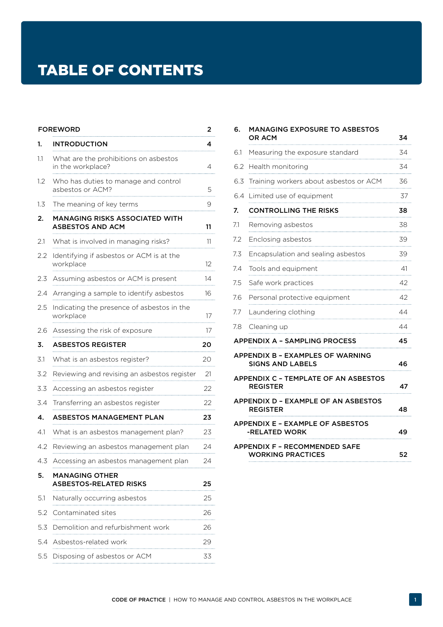# TABLE OF CONTENTS

|     | <b>FOREWORD</b>                                            | 2  |
|-----|------------------------------------------------------------|----|
| 1.  | <b>INTRODUCTION</b>                                        | 4  |
| 1.1 | What are the prohibitions on asbestos<br>in the workplace? | 4  |
| 1.2 | Who has duties to manage and control<br>asbestos or ACM?   | 5  |
| 1.3 | The meaning of key terms                                   | 9  |
| 2.  | MANAGING RISKS ASSOCIATED WITH<br>ASBESTOS AND ACM         | 11 |
| 2.1 | What is involved in managing risks?                        | 11 |
| 2.2 | Identifying if asbestos or ACM is at the<br>workplace      | 12 |
| 2.3 | Assuming asbestos or ACM is present                        | 14 |
| 2.4 | Arranging a sample to identify asbestos                    | 16 |
| 2.5 | Indicating the presence of asbestos in the<br>workplace    | 17 |
| 2.6 | Assessing the risk of exposure                             | 17 |
| 3.  | ASBESTOS REGISTER                                          | 20 |
| 3.1 | What is an asbestos register?                              | 20 |
| 3.2 | Reviewing and revising an asbestos register                | 21 |
| 3.3 | Accessing an asbestos register                             | 22 |
| 3.4 | Transferring an asbestos register                          | 22 |
| 4.  | ASBESTOS MANAGEMENT PLAN                                   | 23 |
| 4.1 | What is an asbestos management plan?                       | 23 |
| 4.2 | Reviewing an asbestos management plan                      | 24 |
| 4.3 | Accessing an asbestos management plan                      | 24 |
| 5.  | MANAGING OTHER<br>ASBESTOS-RELATED RISKS                   | 25 |
| 5.1 | Naturally occurring asbestos                               | 25 |
| 5.2 | Contaminated sites                                         | 26 |
| 5.3 | Demolition and refurbishment work                          | 26 |
| 5.4 | Asbestos-related work                                      | 29 |
| 5.5 | Disposing of asbestos or ACM                               | 33 |

| 6.  | <b>MANAGING EXPOSURE TO ASBESTOS</b><br>OR ACM                     | 34 |
|-----|--------------------------------------------------------------------|----|
| 6.1 | Measuring the exposure standard                                    | 34 |
| 6.2 | Health monitoring                                                  | 34 |
| 6.3 | Training workers about asbestos or ACM                             | 36 |
| 6.4 | Limited use of equipment                                           | 37 |
| 7.  | <b>CONTROLLING THE RISKS</b>                                       | 38 |
| 7.1 | Removing asbestos                                                  | 38 |
| 7.2 | Enclosing asbestos                                                 | 39 |
| 7.3 | Encapsulation and sealing asbestos                                 | 39 |
| 7.4 | Tools and equipment                                                | 41 |
| 7.5 | Safe work practices                                                | 42 |
| 7.6 | Personal protective equipment                                      | 42 |
| 7.7 | Laundering clothing                                                | 44 |
| 7.8 | Cleaning up                                                        | 44 |
|     | APPENDIX A - SAMPLING PROCESS                                      | 45 |
|     | <b>APPENDIX B - EXAMPLES OF WARNING</b><br><b>SIGNS AND LABELS</b> | 46 |
|     | <b>APPENDIX C - TEMPLATE OF AN ASBESTOS</b><br><b>REGISTER</b>     | 47 |
|     | APPENDIX D - EXAMPLE OF AN ASBESTOS<br><b>REGISTER</b>             | 48 |
|     | APPENDIX E - EXAMPLE OF ASBESTOS<br>-RELATED WORK                  | 49 |
|     | <b>APPENDIX F - RECOMMENDED SAFE</b><br><b>WORKING PRACTICES</b>   | 52 |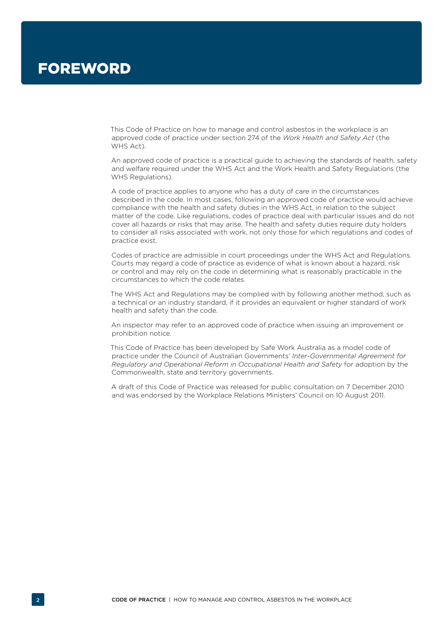<span id="page-3-0"></span>This Code of Practice on how to manage and control asbestos in the workplace is an approved code of practice under section 274 of the *Work Health and Safety Act* (the WHS Act).

An approved code of practice is a practical guide to achieving the standards of health, safety and welfare required under the WHS Act and the Work Health and Safety Regulations (the WHS Regulations).

A code of practice applies to anyone who has a duty of care in the circumstances described in the code. In most cases, following an approved code of practice would achieve compliance with the health and safety duties in the WHS Act, in relation to the subject matter of the code. Like regulations, codes of practice deal with particular issues and do not cover all hazards or risks that may arise. The health and safety duties require duty holders to consider all risks associated with work, not only those for which regulations and codes of practice exist.

Codes of practice are admissible in court proceedings under the WHS Act and Regulations. Courts may regard a code of practice as evidence of what is known about a hazard, risk or control and may rely on the code in determining what is reasonably practicable in the circumstances to which the code relates.

The WHS Act and Regulations may be complied with by following another method, such as a technical or an industry standard, if it provides an equivalent or higher standard of work health and safety than the code.

An inspector may refer to an approved code of practice when issuing an improvement or prohibition notice.

This Code of Practice has been developed by Safe Work Australia as a model code of practice under the Council of Australian Governments' *Inter-Governmental Agreement for Regulatory and Operational Reform in Occupational Health and Safety* for adoption by the Commonwealth, state and territory governments.

A draft of this Code of Practice was released for public consultation on 7 December 2010 and was endorsed by the Workplace Relations Ministers' Council on 10 August 2011.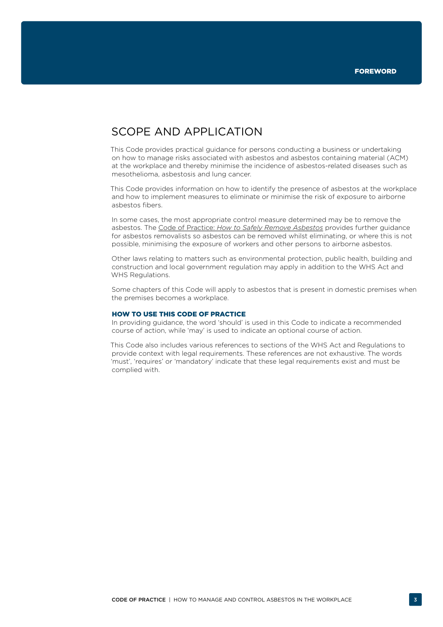# SCOPE AND APPLICATION

This Code provides practical guidance for persons conducting a business or undertaking on how to manage risks associated with asbestos and asbestos containing material (ACM) at the workplace and thereby minimise the incidence of asbestos-related diseases such as mesothelioma, asbestosis and lung cancer.

This Code provides information on how to identify the presence of asbestos at the workplace and how to implement measures to eliminate or minimise the risk of exposure to airborne asbestos fibers.

In some cases, the most appropriate control measure determined may be to remove the asbestos. The Code of Practice: *[How to Safely Remove Asbestos](http://www.safeworkaustralia.gov.au/sites/swa/about/publications/pages/safely-remove-asbestos-cop)* provides further guidance for asbestos removalists so asbestos can be removed whilst eliminating, or where this is not possible, minimising the exposure of workers and other persons to airborne asbestos.

Other laws relating to matters such as environmental protection, public health, building and construction and local government regulation may apply in addition to the WHS Act and WHS Regulations.

Some chapters of this Code will apply to asbestos that is present in domestic premises when the premises becomes a workplace.

### HOW TO USE THIS CODE OF PRACTICE

In providing guidance, the word 'should' is used in this Code to indicate a recommended course of action, while 'may' is used to indicate an optional course of action.

This Code also includes various references to sections of the WHS Act and Regulations to provide context with legal requirements. These references are not exhaustive. The words 'must', 'requires' or 'mandatory' indicate that these legal requirements exist and must be complied with.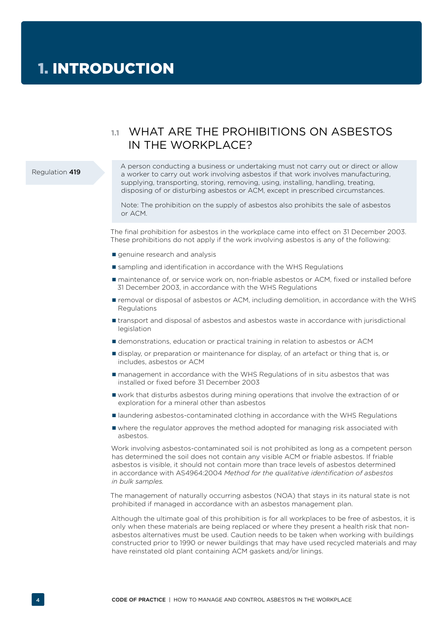# <span id="page-5-0"></span>**1.1** WHAT ARE THE PROHIBITIONS ON ASBESTOS IN THE WORKPLACE?

#### Regulation 419

A person conducting a business or undertaking must not carry out or direct or allow a worker to carry out work involving asbestos if that work involves manufacturing, supplying, transporting, storing, removing, using, installing, handling, treating, disposing of or disturbing asbestos or ACM, except in prescribed circumstances.

Note: The prohibition on the supply of asbestos also prohibits the sale of asbestos or ACM.

The final prohibition for asbestos in the workplace came into effect on 31 December 2003. These prohibitions do not apply if the work involving asbestos is any of the following:

- genuine research and analysis
- **Solution** sampling and identification in accordance with the WHS Regulations
- maintenance of, or service work on, non-friable asbestos or ACM, fixed or installed before 31 December 2003, in accordance with the WHS Regulations
- removal or disposal of asbestos or ACM, including demolition, in accordance with the WHS Regulations
- transport and disposal of asbestos and asbestos waste in accordance with jurisdictional legislation
- demonstrations, education or practical training in relation to asbestos or ACM
- display, or preparation or maintenance for display, of an artefact or thing that is, or includes, asbestos or ACM
- management in accordance with the WHS Regulations of in situ asbestos that was installed or fixed before 31 December 2003
- work that disturbs asbestos during mining operations that involve the extraction of or exploration for a mineral other than asbestos
- **If** laundering asbestos-contaminated clothing in accordance with the WHS Regulations
- where the regulator approves the method adopted for managing risk associated with asbestos.

Work involving asbestos-contaminated soil is not prohibited as long as a competent person has determined the soil does not contain any visible ACM or friable asbestos. If friable asbestos is visible, it should not contain more than trace levels of asbestos determined in accordance with AS4964:2004 *Method for the qualitative identification of asbestos in bulk samples.*

The management of naturally occurring asbestos (NOA) that stays in its natural state is not prohibited if managed in accordance with an asbestos management plan.

Although the ultimate goal of this prohibition is for all workplaces to be free of asbestos, it is only when these materials are being replaced or where they present a health risk that nonasbestos alternatives must be used. Caution needs to be taken when working with buildings constructed prior to 1990 or newer buildings that may have used recycled materials and may have reinstated old plant containing ACM gaskets and/or linings.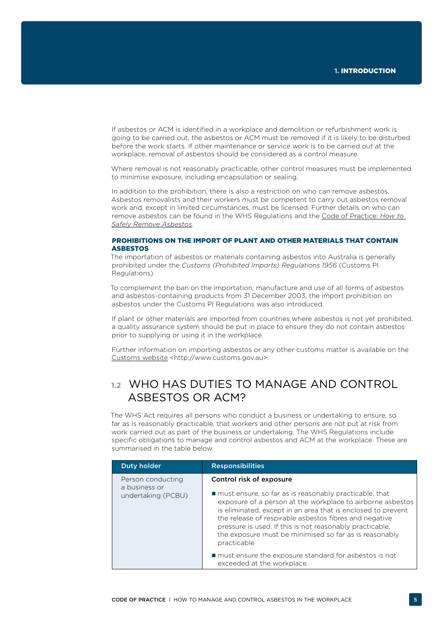<span id="page-6-0"></span>If asbestos or ACM is identified in a workplace and demolition or refurbishment work is going to be carried out, the asbestos or ACM must be removed if it is likely to be disturbed before the work starts. If other maintenance or service work is to be carried out at the workplace, removal of asbestos should be considered as a control measure.

Where removal is not reasonably practicable, other control measures must be implemented to minimise exposure, including encapsulation or sealing.

In addition to the prohibition, there is also a restriction on who can remove asbestos. Asbestos removalists and their workers must be competent to carry out asbestos removal work and, except in limited circumstances, must be licensed. Further details on who can remove asbestos can be found in the WHS Regulations and the [Code of Practice:](http://www.safeworkaustralia.gov.au/sites/swa/about/publications/pages/safely-remove-asbestos-cop) *How to [Safely Remove Asbestos](http://www.safeworkaustralia.gov.au/sites/swa/about/publications/pages/safely-remove-asbestos-cop).*

### PROHIBITIONS ON THE IMPORT OF PLANT AND OTHER MATERIALS THAT CONTAIN ASBESTOS

The importation of asbestos or materials containing asbestos into Australia is generally prohibited under the *Customs (Prohibited Imports) Regulations 1956* (Customs PI Regulations).

To complement the ban on the importation, manufacture and use of all forms of asbestos and asbestos-containing products from 31 December 2003, the import prohibition on asbestos under the Customs PI Regulations was also introduced.

If plant or other materials are imported from countries where asbestos is not yet prohibited, a quality assurance system should be put in place to ensure they do not contain asbestos prior to supplying or using it in the workplace.

Further information on importing asbestos or any other customs matter is available on the [Customs website](http://www.customs.gov.au/) <http://www.customs.gov.au>.

# **1.2** WHO HAS DUTIES TO MANAGE AND CONTROL ASBESTOS OR ACM?

The WHS Act requires all persons who conduct a business or undertaking to ensure, so far as is reasonably practicable, that workers and other persons are not put at risk from work carried out as part of the business or undertaking. The WHS Regulations include specific obligations to manage and control asbestos and ACM at the workplace. These are summarised in the table below.

| <b>Duty holder</b>                                       | <b>Responsibilities</b>                                                                                                                                                                                                                                                                                                                                                                                           |
|----------------------------------------------------------|-------------------------------------------------------------------------------------------------------------------------------------------------------------------------------------------------------------------------------------------------------------------------------------------------------------------------------------------------------------------------------------------------------------------|
| Person conducting<br>a business or<br>undertaking (PCBU) | Control risk of exposure<br>■ must ensure, so far as is reasonably practicable, that<br>exposure of a person at the workplace to airborne asbestos<br>is eliminated, except in an area that is enclosed to prevent<br>the release of respirable asbestos fibres and negative<br>pressure is used. If this is not reasonably practicable,<br>the exposure must be minimised so far as is reasonably<br>practicable |
|                                                          | ■ must ensure the exposure standard for asbestos is not<br>exceeded at the workplace.                                                                                                                                                                                                                                                                                                                             |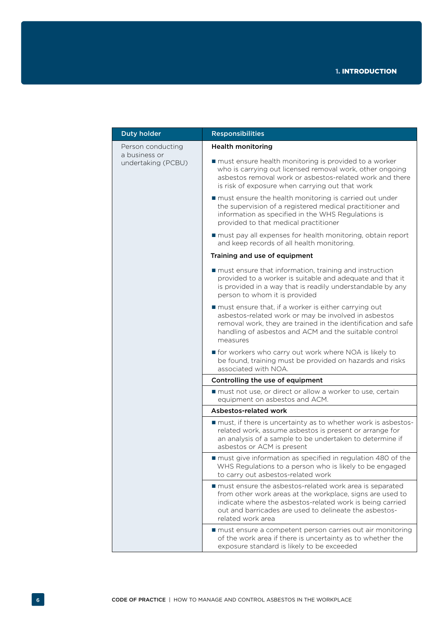| <b>Duty holder</b>                  | <b>Responsibilities</b>                                                                                                                                                                                                                                            |
|-------------------------------------|--------------------------------------------------------------------------------------------------------------------------------------------------------------------------------------------------------------------------------------------------------------------|
| Person conducting                   | <b>Health monitoring</b>                                                                                                                                                                                                                                           |
| a business or<br>undertaking (PCBU) | ■ must ensure health monitoring is provided to a worker<br>who is carrying out licensed removal work, other ongoing<br>asbestos removal work or asbestos-related work and there<br>is risk of exposure when carrying out that work                                 |
|                                     | must ensure the health monitoring is carried out under<br>the supervision of a registered medical practitioner and<br>information as specified in the WHS Regulations is<br>provided to that medical practitioner                                                  |
|                                     | must pay all expenses for health monitoring, obtain report<br>and keep records of all health monitoring.                                                                                                                                                           |
|                                     | Training and use of equipment                                                                                                                                                                                                                                      |
|                                     | ■ must ensure that information, training and instruction<br>provided to a worker is suitable and adequate and that it<br>is provided in a way that is readily understandable by any<br>person to whom it is provided                                               |
|                                     | must ensure that, if a worker is either carrying out<br>asbestos-related work or may be involved in asbestos<br>removal work, they are trained in the identification and safe<br>handling of asbestos and ACM and the suitable control<br>measures                 |
|                                     | <b>f</b> for workers who carry out work where NOA is likely to<br>be found, training must be provided on hazards and risks<br>associated with NOA.                                                                                                                 |
|                                     | Controlling the use of equipment                                                                                                                                                                                                                                   |
|                                     | ■ must not use, or direct or allow a worker to use, certain<br>equipment on asbestos and ACM.                                                                                                                                                                      |
|                                     | Asbestos-related work                                                                                                                                                                                                                                              |
|                                     | must, if there is uncertainty as to whether work is asbestos-<br>related work, assume asbestos is present or arrange for<br>an analysis of a sample to be undertaken to determine if<br>asbestos or ACM is present                                                 |
|                                     | must give information as specified in regulation 480 of the<br>WHS Regulations to a person who is likely to be engaged<br>to carry out asbestos-related work                                                                                                       |
|                                     | ■ must ensure the asbestos-related work area is separated<br>from other work areas at the workplace, signs are used to<br>indicate where the asbestos-related work is being carried<br>out and barricades are used to delineate the asbestos-<br>related work area |
|                                     | must ensure a competent person carries out air monitoring<br>of the work area if there is uncertainty as to whether the<br>exposure standard is likely to be exceeded                                                                                              |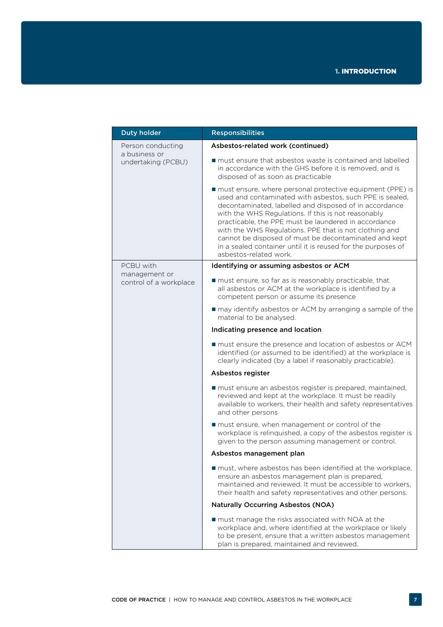| <b>Duty holder</b>                  | <b>Responsibilities</b>                                                                                                                                                                                                                                                                                                                                                                                                                                                                                       |
|-------------------------------------|---------------------------------------------------------------------------------------------------------------------------------------------------------------------------------------------------------------------------------------------------------------------------------------------------------------------------------------------------------------------------------------------------------------------------------------------------------------------------------------------------------------|
| Person conducting                   | Asbestos-related work (continued)                                                                                                                                                                                                                                                                                                                                                                                                                                                                             |
| a business or<br>undertaking (PCBU) | ■ must ensure that asbestos waste is contained and labelled<br>in accordance with the GHS before it is removed, and is<br>disposed of as soon as practicable                                                                                                                                                                                                                                                                                                                                                  |
|                                     | ■ must ensure, where personal protective equipment (PPE) is<br>used and contaminated with asbestos, such PPE is sealed,<br>decontaminated, labelled and disposed of in accordance<br>with the WHS Regulations. If this is not reasonably<br>practicable, the PPE must be laundered in accordance<br>with the WHS Regulations. PPE that is not clothing and<br>cannot be disposed of must be decontaminated and kept<br>in a sealed container until it is reused for the purposes of<br>asbestos-related work. |
| PCBU with<br>management or          | Identifying or assuming asbestos or ACM                                                                                                                                                                                                                                                                                                                                                                                                                                                                       |
| control of a workplace              | must ensure, so far as is reasonably practicable, that<br>all asbestos or ACM at the workplace is identified by a<br>competent person or assume its presence                                                                                                                                                                                                                                                                                                                                                  |
|                                     | may identify asbestos or ACM by arranging a sample of the<br>material to be analysed.                                                                                                                                                                                                                                                                                                                                                                                                                         |
|                                     | Indicating presence and location                                                                                                                                                                                                                                                                                                                                                                                                                                                                              |
|                                     | ■ must ensure the presence and location of asbestos or ACM<br>identified (or assumed to be identified) at the workplace is<br>clearly indicated (by a label if reasonably practicable).                                                                                                                                                                                                                                                                                                                       |
|                                     | Asbestos register                                                                                                                                                                                                                                                                                                                                                                                                                                                                                             |
|                                     | ■ must ensure an asbestos register is prepared, maintained,<br>reviewed and kept at the workplace. It must be readily<br>available to workers, their health and safety representatives<br>and other persons                                                                                                                                                                                                                                                                                                   |
|                                     | must ensure, when management or control of the<br>workplace is relinquished, a copy of the asbestos register is<br>given to the person assuming management or control.                                                                                                                                                                                                                                                                                                                                        |
|                                     | Asbestos management plan                                                                                                                                                                                                                                                                                                                                                                                                                                                                                      |
|                                     | ■ must, where asbestos has been identified at the workplace,<br>ensure an asbestos management plan is prepared,<br>maintained and reviewed. It must be accessible to workers,<br>their health and safety representatives and other persons.                                                                                                                                                                                                                                                                   |
|                                     | <b>Naturally Occurring Asbestos (NOA)</b>                                                                                                                                                                                                                                                                                                                                                                                                                                                                     |
|                                     | ■ must manage the risks associated with NOA at the<br>workplace and, where identified at the workplace or likely<br>to be present, ensure that a written asbestos management<br>plan is prepared, maintained and reviewed.                                                                                                                                                                                                                                                                                    |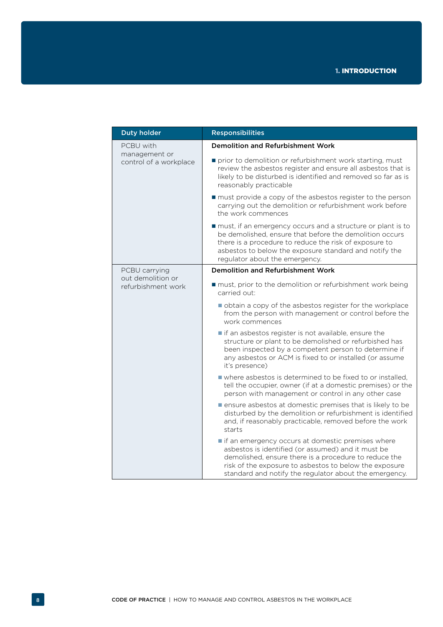| <b>Duty holder</b>                      | <b>Responsibilities</b>                                                                                                                                                                                                                                                              |
|-----------------------------------------|--------------------------------------------------------------------------------------------------------------------------------------------------------------------------------------------------------------------------------------------------------------------------------------|
| PCBU with                               | <b>Demolition and Refurbishment Work</b>                                                                                                                                                                                                                                             |
| management or<br>control of a workplace | prior to demolition or refurbishment work starting, must<br>review the asbestos register and ensure all asbestos that is<br>likely to be disturbed is identified and removed so far as is<br>reasonably practicable                                                                  |
|                                         | must provide a copy of the asbestos register to the person<br>carrying out the demolition or refurbishment work before<br>the work commences                                                                                                                                         |
|                                         | must, if an emergency occurs and a structure or plant is to<br>be demolished, ensure that before the demolition occurs<br>there is a procedure to reduce the risk of exposure to<br>asbestos to below the exposure standard and notify the<br>regulator about the emergency.         |
| PCBU carrying                           | <b>Demolition and Refurbishment Work</b>                                                                                                                                                                                                                                             |
| out demolition or<br>refurbishment work | must, prior to the demolition or refurbishment work being<br>carried out:                                                                                                                                                                                                            |
|                                         | obtain a copy of the asbestos register for the workplace<br>from the person with management or control before the<br>work commences                                                                                                                                                  |
|                                         | if an asbestos register is not available, ensure the<br>structure or plant to be demolished or refurbished has<br>been inspected by a competent person to determine if<br>any asbestos or ACM is fixed to or installed (or assume<br>it's presence)                                  |
|                                         | ■ where asbestos is determined to be fixed to or installed.<br>tell the occupier, owner (if at a domestic premises) or the<br>person with management or control in any other case                                                                                                    |
|                                         | ■ ensure asbestos at domestic premises that is likely to be<br>disturbed by the demolition or refurbishment is identified<br>and, if reasonably practicable, removed before the work<br>starts                                                                                       |
|                                         | if an emergency occurs at domestic premises where<br>asbestos is identified (or assumed) and it must be<br>demolished, ensure there is a procedure to reduce the<br>risk of the exposure to asbestos to below the exposure<br>standard and notify the regulator about the emergency. |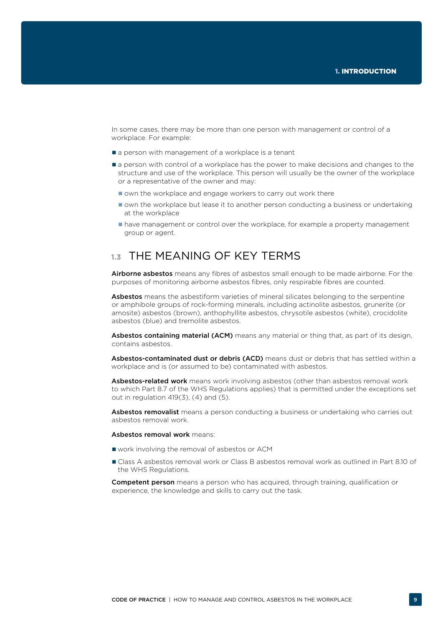<span id="page-10-0"></span>In some cases, there may be more than one person with management or control of a workplace. For example:

- a person with management of a workplace is a tenant
- **a** person with control of a workplace has the power to make decisions and changes to the structure and use of the workplace. This person will usually be the owner of the workplace or a representative of the owner and may:
	- own the workplace and engage workers to carry out work there
	- own the workplace but lease it to another person conducting a business or undertaking at the workplace
	- $\blacksquare$  have management or control over the workplace, for example a property management group or agent.

# **1.3** THE MEANING OF KEY TERMS

Airborne asbestos means any fibres of asbestos small enough to be made airborne. For the purposes of monitoring airborne asbestos fibres, only respirable fibres are counted.

Asbestos means the asbestiform varieties of mineral silicates belonging to the serpentine or amphibole groups of rock-forming minerals, including actinolite asbestos, grunerite (or amosite) asbestos (brown), anthophyllite asbestos, chrysotile asbestos (white), crocidolite asbestos (blue) and tremolite asbestos.

Asbestos containing material (ACM) means any material or thing that, as part of its design, contains asbestos.

Asbestos-contaminated dust or debris (ACD) means dust or debris that has settled within a workplace and is (or assumed to be) contaminated with asbestos.

Asbestos-related work means work involving asbestos (other than asbestos removal work to which Part 8.7 of the WHS Regulations applies) that is permitted under the exceptions set out in regulation  $419(3)$ ,  $(4)$  and  $(5)$ .

Asbestos removalist means a person conducting a business or undertaking who carries out asbestos removal work.

#### Asbestos removal work means:

- work involving the removal of asbestos or ACM
- Class A asbestos removal work or Class B asbestos removal work as outlined in Part 8.10 of the WHS Regulations.

**Competent person** means a person who has acquired, through training, qualification or experience, the knowledge and skills to carry out the task.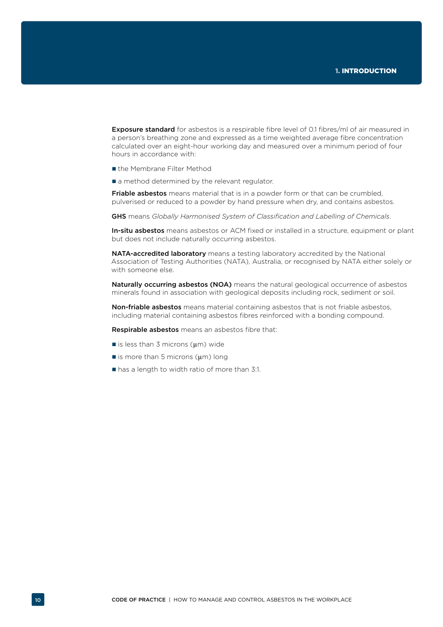**Exposure standard** for asbestos is a respirable fibre level of 0.1 fibres/ml of air measured in a person's breathing zone and expressed as a time weighted average fibre concentration calculated over an eight-hour working day and measured over a minimum period of four hours in accordance with:

- the Membrane Filter Method
- a method determined by the relevant regulator.

Friable asbestos means material that is in a powder form or that can be crumbled, pulverised or reduced to a powder by hand pressure when dry, and contains asbestos.

GHS means *Globally Harmonised System of Classification and Labelling of Chemicals*.

In-situ asbestos means asbestos or ACM fixed or installed in a structure, equipment or plant but does not include naturally occurring asbestos.

NATA-accredited laboratory means a testing laboratory accredited by the National Association of Testing Authorities (NATA), Australia, or recognised by NATA either solely or with someone else.

Naturally occurring asbestos (NOA) means the natural geological occurrence of asbestos minerals found in association with geological deposits including rock, sediment or soil.

Non-friable asbestos means material containing asbestos that is not friable asbestos, including material containing asbestos fibres reinforced with a bonding compound.

Respirable asbestos means an asbestos fibre that:

- is less than 3 microns  $(\mu m)$  wide
- $\blacksquare$  is more than 5 microns ( $\mu$ m) long
- has a length to width ratio of more than 3:1.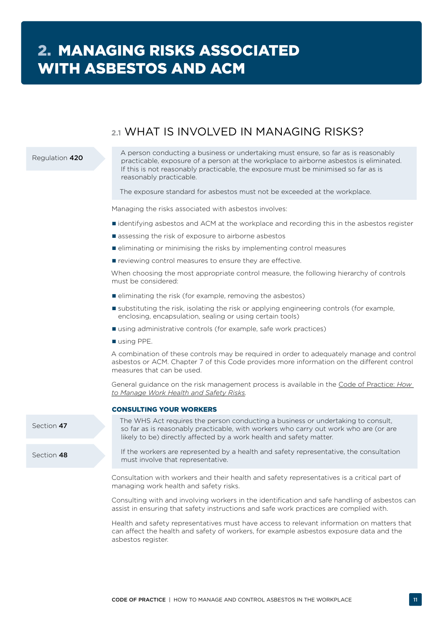# **2.1** WHAT IS INVOLVED IN MANAGING RISKS?

### <span id="page-12-0"></span>Regulation 420

Section 47

Section 48

A person conducting a business or undertaking must ensure, so far as is reasonably practicable, exposure of a person at the workplace to airborne asbestos is eliminated. If this is not reasonably practicable, the exposure must be minimised so far as is reasonably practicable.

The exposure standard for asbestos must not be exceeded at the workplace.

Managing the risks associated with asbestos involves:

- identifying asbestos and ACM at the workplace and recording this in the asbestos register
- assessing the risk of exposure to airborne asbestos
- **E** eliminating or minimising the risks by implementing control measures
- **reviewing control measures to ensure they are effective.**

When choosing the most appropriate control measure, the following hierarchy of controls must be considered:

- $\blacksquare$  eliminating the risk (for example, removing the asbestos)
- substituting the risk, isolating the risk or applying engineering controls (for example, enclosing, encapsulation, sealing or using certain tools)
- using administrative controls (for example, safe work practices)
- using PPE.

A combination of these controls may be required in order to adequately manage and control asbestos or ACM. Chapter 7 of this Code provides more information on the different control measures that can be used.

General guidance on the risk management process is available in the [Code of Practice:](http://www.safeworkaustralia.gov.au/sites/swa/about/publications/pages/manage-whs-risks-cop) *How [to Manage Work Health and Safety Risks](http://www.safeworkaustralia.gov.au/sites/swa/about/publications/pages/manage-whs-risks-cop).*

#### CONSULTING YOUR WORKERS

The WHS Act requires the person conducting a business or undertaking to consult, so far as is reasonably practicable, with workers who carry out work who are (or are likely to be) directly affected by a work health and safety matter.

If the workers are represented by a health and safety representative, the consultation must involve that representative.

Consultation with workers and their health and safety representatives is a critical part of managing work health and safety risks.

Consulting with and involving workers in the identification and safe handling of asbestos can assist in ensuring that safety instructions and safe work practices are complied with.

Health and safety representatives must have access to relevant information on matters that can affect the health and safety of workers, for example asbestos exposure data and the asbestos register.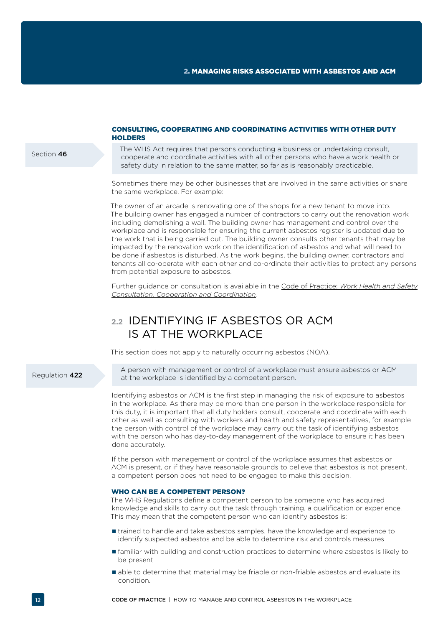#### <span id="page-13-0"></span>Section 46

### CONSULTING, COOPERATING AND COORDINATING ACTIVITIES WITH OTHER DUTY **HOLDERS**

The WHS Act requires that persons conducting a business or undertaking consult, cooperate and coordinate activities with all other persons who have a work health or safety duty in relation to the same matter, so far as is reasonably practicable.

Sometimes there may be other businesses that are involved in the same activities or share the same workplace. For example:

The owner of an arcade is renovating one of the shops for a new tenant to move into. The building owner has engaged a number of contractors to carry out the renovation work including demolishing a wall. The building owner has management and control over the workplace and is responsible for ensuring the current asbestos register is updated due to the work that is being carried out. The building owner consults other tenants that may be impacted by the renovation work on the identification of asbestos and what will need to be done if asbestos is disturbed. As the work begins, the building owner, contractors and tenants all co-operate with each other and co-ordinate their activities to protect any persons from potential exposure to asbestos.

Further guidance on consultation is available in the Code of Practice: *[Work Health and Safety](http://www.safeworkaustralia.gov.au/sites/swa/about/publications/pages/consultation-cooperation-coordination-cop) [Consultation, Cooperation and Coordination.](http://www.safeworkaustralia.gov.au/sites/swa/about/publications/pages/consultation-cooperation-coordination-cop)*

# **2.2** IDENTIFYING IF ASBESTOS OR ACM IS AT THE WORKPLACE

This section does not apply to naturally occurring asbestos (NOA).

#### Regulation 422

A person with management or control of a workplace must ensure asbestos or ACM at the workplace is identified by a competent person.

Identifying asbestos or ACM is the first step in managing the risk of exposure to asbestos in the workplace. As there may be more than one person in the workplace responsible for this duty, it is important that all duty holders consult, cooperate and coordinate with each other as well as consulting with workers and health and safety representatives, for example the person with control of the workplace may carry out the task of identifying asbestos with the person who has day-to-day management of the workplace to ensure it has been done accurately.

If the person with management or control of the workplace assumes that asbestos or ACM is present, or if they have reasonable grounds to believe that asbestos is not present, a competent person does not need to be engaged to make this decision.

### WHO CAN BE A COMPETENT PERSON?

The WHS Regulations define a competent person to be someone who has acquired knowledge and skills to carry out the task through training, a qualification or experience. This may mean that the competent person who can identify asbestos is:

- trained to handle and take asbestos samples, have the knowledge and experience to identify suspected asbestos and be able to determine risk and controls measures
- familiar with building and construction practices to determine where asbestos is likely to be present
- able to determine that material may be friable or non-friable asbestos and evaluate its condition.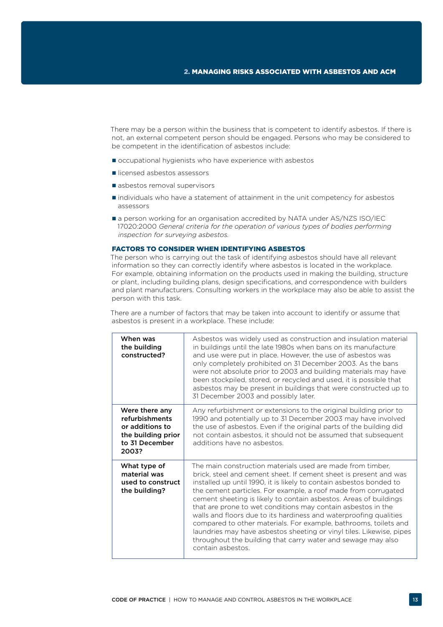There may be a person within the business that is competent to identify asbestos. If there is not, an external competent person should be engaged. Persons who may be considered to be competent in the identification of asbestos include:

- occupational hygienists who have experience with asbestos
- licensed asbestos assessors
- asbestos removal supervisors
- individuals who have a statement of attainment in the unit competency for asbestos assessors
- a person working for an organisation accredited by NATA under AS/NZS ISO/IEC 17020:2000 *General criteria for the operation of various types of bodies performing inspection for surveying asbestos.*

### FACTORS TO CONSIDER WHEN IDENTIFYING ASBESTOS

The person who is carrying out the task of identifying asbestos should have all relevant information so they can correctly identify where asbestos is located in the workplace. For example, obtaining information on the products used in making the building, structure or plant, including building plans, design specifications, and correspondence with builders and plant manufacturers. Consulting workers in the workplace may also be able to assist the person with this task.

There are a number of factors that may be taken into account to identify or assume that asbestos is present in a workplace. These include:

| When was<br>the building<br>constructed?                                                             | Asbestos was widely used as construction and insulation material<br>in buildings until the late 1980s when bans on its manufacture<br>and use were put in place. However, the use of asbestos was<br>only completely prohibited on 31 December 2003. As the bans<br>were not absolute prior to 2003 and building materials may have<br>been stockpiled, stored, or recycled and used, it is possible that<br>asbestos may be present in buildings that were constructed up to<br>31 December 2003 and possibly later.                                                                                                                                                                                               |
|------------------------------------------------------------------------------------------------------|---------------------------------------------------------------------------------------------------------------------------------------------------------------------------------------------------------------------------------------------------------------------------------------------------------------------------------------------------------------------------------------------------------------------------------------------------------------------------------------------------------------------------------------------------------------------------------------------------------------------------------------------------------------------------------------------------------------------|
| Were there any<br>refurbishments<br>or additions to<br>the building prior<br>to 31 December<br>2003? | Any refurbishment or extensions to the original building prior to<br>1990 and potentially up to 31 December 2003 may have involved<br>the use of asbestos. Even if the original parts of the building did<br>not contain asbestos, it should not be assumed that subsequent<br>additions have no asbestos.                                                                                                                                                                                                                                                                                                                                                                                                          |
| What type of<br>material was<br>used to construct<br>the building?                                   | The main construction materials used are made from timber.<br>brick, steel and cement sheet. If cement sheet is present and was<br>installed up until 1990, it is likely to contain asbestos bonded to<br>the cement particles. For example, a roof made from corrugated<br>cement sheeting is likely to contain asbestos. Areas of buildings<br>that are prone to wet conditions may contain asbestos in the<br>walls and floors due to its hardiness and waterproofing qualities<br>compared to other materials. For example, bathrooms, toilets and<br>laundries may have asbestos sheeting or vinyl tiles. Likewise, pipes<br>throughout the building that carry water and sewage may also<br>contain asbestos. |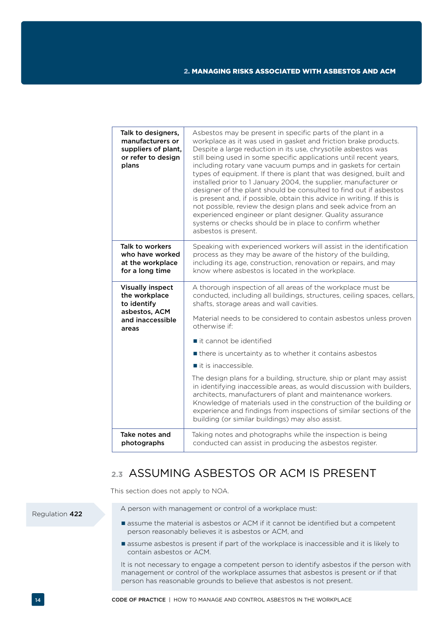<span id="page-15-0"></span>

| Talk to designers,<br>manufacturers or<br>suppliers of plant,<br>or refer to design<br>plans | Asbestos may be present in specific parts of the plant in a<br>workplace as it was used in gasket and friction brake products.<br>Despite a large reduction in its use, chrysotile asbestos was<br>still being used in some specific applications until recent years,<br>including rotary vane vacuum pumps and in gaskets for certain<br>types of equipment. If there is plant that was designed, built and<br>installed prior to 1 January 2004, the supplier, manufacturer or<br>designer of the plant should be consulted to find out if asbestos<br>is present and, if possible, obtain this advice in writing. If this is<br>not possible, review the design plans and seek advice from an<br>experienced engineer or plant designer. Quality assurance<br>systems or checks should be in place to confirm whether<br>asbestos is present. |
|----------------------------------------------------------------------------------------------|--------------------------------------------------------------------------------------------------------------------------------------------------------------------------------------------------------------------------------------------------------------------------------------------------------------------------------------------------------------------------------------------------------------------------------------------------------------------------------------------------------------------------------------------------------------------------------------------------------------------------------------------------------------------------------------------------------------------------------------------------------------------------------------------------------------------------------------------------|
| Talk to workers<br>who have worked<br>at the workplace<br>for a long time                    | Speaking with experienced workers will assist in the identification<br>process as they may be aware of the history of the building,<br>including its age, construction, renovation or repairs, and may<br>know where asbestos is located in the workplace.                                                                                                                                                                                                                                                                                                                                                                                                                                                                                                                                                                                       |
| <b>Visually inspect</b><br>the workplace<br>to identify                                      | A thorough inspection of all areas of the workplace must be<br>conducted, including all buildings, structures, ceiling spaces, cellars,<br>shafts, storage areas and wall cavities.                                                                                                                                                                                                                                                                                                                                                                                                                                                                                                                                                                                                                                                              |
| asbestos, ACM<br>and inaccessible<br>areas                                                   | Material needs to be considered to contain asbestos unless proven<br>otherwise if:                                                                                                                                                                                                                                                                                                                                                                                                                                                                                                                                                                                                                                                                                                                                                               |
|                                                                                              | $\blacksquare$ it cannot be identified                                                                                                                                                                                                                                                                                                                                                                                                                                                                                                                                                                                                                                                                                                                                                                                                           |
|                                                                                              | If there is uncertainty as to whether it contains asbestos                                                                                                                                                                                                                                                                                                                                                                                                                                                                                                                                                                                                                                                                                                                                                                                       |
|                                                                                              | $\blacksquare$ it is inaccessible.                                                                                                                                                                                                                                                                                                                                                                                                                                                                                                                                                                                                                                                                                                                                                                                                               |
|                                                                                              | The design plans for a building, structure, ship or plant may assist<br>in identifying inaccessible areas, as would discussion with builders,<br>architects, manufacturers of plant and maintenance workers.<br>Knowledge of materials used in the construction of the building or<br>experience and findings from inspections of similar sections of the<br>building (or similar buildings) may also assist.                                                                                                                                                                                                                                                                                                                                                                                                                                    |
| Take notes and<br>photographs                                                                | Taking notes and photographs while the inspection is being<br>conducted can assist in producing the asbestos register.                                                                                                                                                                                                                                                                                                                                                                                                                                                                                                                                                                                                                                                                                                                           |

# **2.3** ASSUMING ASBESTOS OR ACM IS PRESENT

This section does not apply to NOA.

Regulation 422

- A person with management or control of a workplace must:
- assume the material is asbestos or ACM if it cannot be identified but a competent person reasonably believes it is asbestos or ACM, and
- assume asbestos is present if part of the workplace is inaccessible and it is likely to contain asbestos or ACM.

It is not necessary to engage a competent person to identify asbestos if the person with management or control of the workplace assumes that asbestos is present or if that person has reasonable grounds to believe that asbestos is not present.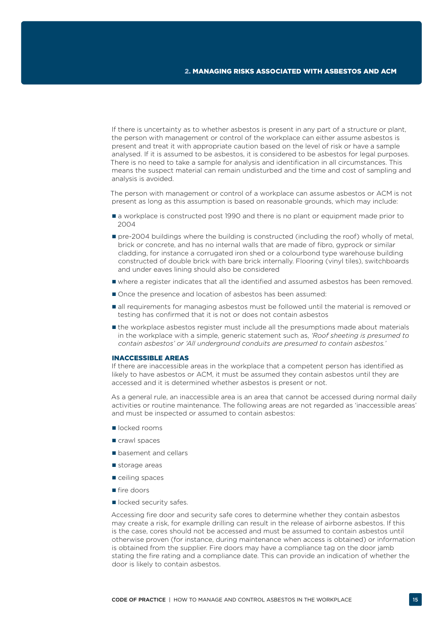If there is uncertainty as to whether asbestos is present in any part of a structure or plant, the person with management or control of the workplace can either assume asbestos is present and treat it with appropriate caution based on the level of risk or have a sample analysed. If it is assumed to be asbestos, it is considered to be asbestos for legal purposes. There is no need to take a sample for analysis and identification in all circumstances. This means the suspect material can remain undisturbed and the time and cost of sampling and analysis is avoided.

The person with management or control of a workplace can assume asbestos or ACM is not present as long as this assumption is based on reasonable grounds, which may include:

- a workplace is constructed post 1990 and there is no plant or equipment made prior to 2004
- **pre-2004** buildings where the building is constructed (including the roof) wholly of metal, brick or concrete, and has no internal walls that are made of fibro, gyprock or similar cladding, for instance a corrugated iron shed or a colourbond type warehouse building constructed of double brick with bare brick internally. Flooring (vinyl tiles), switchboards and under eaves lining should also be considered
- where a register indicates that all the identified and assumed asbestos has been removed.
- Once the presence and location of asbestos has been assumed:
- all requirements for managing asbestos must be followed until the material is removed or testing has confirmed that it is not or does not contain asbestos
- **If** the workplace asbestos register must include all the presumptions made about materials in the workplace with a simple, generic statement such as, *'Roof sheeting is presumed to contain asbestos' or 'All underground conduits are presumed to contain asbestos.'*

### INACCESSIBLE AREAS

If there are inaccessible areas in the workplace that a competent person has identified as likely to have asbestos or ACM, it must be assumed they contain asbestos until they are accessed and it is determined whether asbestos is present or not.

As a general rule, an inaccessible area is an area that cannot be accessed during normal daily activities or routine maintenance. The following areas are not regarded as 'inaccessible areas' and must be inspected or assumed to contain asbestos:

- locked rooms
- crawl spaces
- basement and cellars
- storage areas
- ceiling spaces
- fire doors
- locked security safes.

Accessing fire door and security safe cores to determine whether they contain asbestos may create a risk, for example drilling can result in the release of airborne asbestos. If this is the case, cores should not be accessed and must be assumed to contain asbestos until otherwise proven (for instance, during maintenance when access is obtained) or information is obtained from the supplier. Fire doors may have a compliance tag on the door jamb stating the fire rating and a compliance date. This can provide an indication of whether the door is likely to contain asbestos.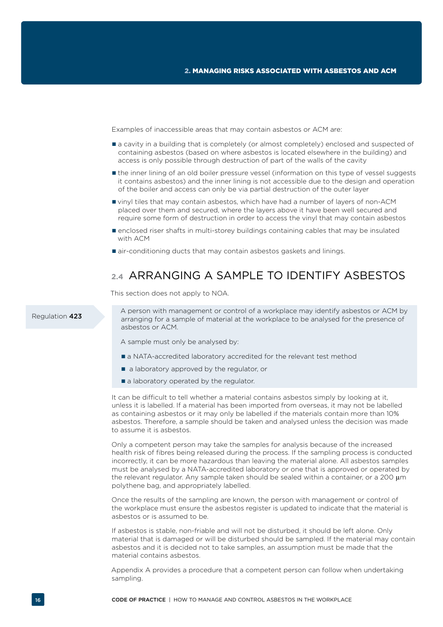<span id="page-17-0"></span>Examples of inaccessible areas that may contain asbestos or ACM are:

- a cavity in a building that is completely (or almost completely) enclosed and suspected of containing asbestos (based on where asbestos is located elsewhere in the building) and access is only possible through destruction of part of the walls of the cavity
- the inner lining of an old boiler pressure vessel (information on this type of vessel suggests it contains asbestos) and the inner lining is not accessible due to the design and operation of the boiler and access can only be via partial destruction of the outer layer
- vinyl tiles that may contain asbestos, which have had a number of layers of non-ACM placed over them and secured, where the layers above it have been well secured and require some form of destruction in order to access the vinyl that may contain asbestos
- enclosed riser shafts in multi-storey buildings containing cables that may be insulated with ACM
- **E** air-conditioning ducts that may contain asbestos gaskets and linings.

# **2.4** ARRANGING A SAMPLE TO IDENTIFY ASBESTOS

This section does not apply to NOA.

Regulation 423

A person with management or control of a workplace may identify asbestos or ACM by arranging for a sample of material at the workplace to be analysed for the presence of asbestos or ACM.

A sample must only be analysed by:

- **a** NATA-accredited laboratory accredited for the relevant test method
- a laboratory approved by the regulator, or
- a laboratory operated by the regulator.

It can be difficult to tell whether a material contains asbestos simply by looking at it, unless it is labelled. If a material has been imported from overseas, it may not be labelled as containing asbestos or it may only be labelled if the materials contain more than 10% asbestos. Therefore, a sample should be taken and analysed unless the decision was made to assume it is asbestos.

Only a competent person may take the samples for analysis because of the increased health risk of fibres being released during the process. If the sampling process is conducted incorrectly, it can be more hazardous than leaving the material alone. All asbestos samples must be analysed by a NATA-accredited laboratory or one that is approved or operated by the relevant regulator. Any sample taken should be sealed within a container, or a 200  $\mu$ m polythene bag, and appropriately labelled.

Once the results of the sampling are known, the person with management or control of the workplace must ensure the asbestos register is updated to indicate that the material is asbestos or is assumed to be.

If asbestos is stable, non-friable and will not be disturbed, it should be left alone. Only material that is damaged or will be disturbed should be sampled. If the material may contain asbestos and it is decided not to take samples, an assumption must be made that the material contains asbestos.

Appendix A provides a procedure that a competent person can follow when undertaking sampling.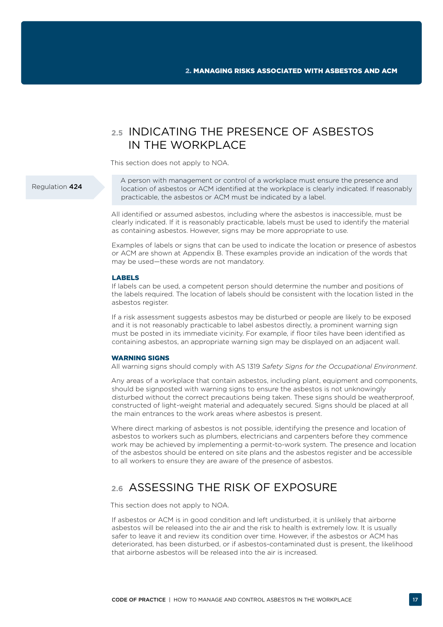# <span id="page-18-0"></span>**2.5** INDICATING THE PRESENCE OF ASBESTOS IN THE WORKPLACE

This section does not apply to NOA.

### Regulation 424

A person with management or control of a workplace must ensure the presence and location of asbestos or ACM identified at the workplace is clearly indicated. If reasonably practicable, the asbestos or ACM must be indicated by a label.

All identified or assumed asbestos, including where the asbestos is inaccessible, must be clearly indicated. If it is reasonably practicable, labels must be used to identify the material as containing asbestos. However, signs may be more appropriate to use.

Examples of labels or signs that can be used to indicate the location or presence of asbestos or ACM are shown at Appendix B. These examples provide an indication of the words that may be used—these words are not mandatory.

#### LABELS

If labels can be used, a competent person should determine the number and positions of the labels required. The location of labels should be consistent with the location listed in the asbestos register.

If a risk assessment suggests asbestos may be disturbed or people are likely to be exposed and it is not reasonably practicable to label asbestos directly, a prominent warning sign must be posted in its immediate vicinity. For example, if floor tiles have been identified as containing asbestos, an appropriate warning sign may be displayed on an adjacent wall.

### WARNING SIGNS

All warning signs should comply with AS 1319 *Safety Signs for the Occupational Environment*.

Any areas of a workplace that contain asbestos, including plant, equipment and components, should be signposted with warning signs to ensure the asbestos is not unknowingly disturbed without the correct precautions being taken. These signs should be weatherproof, constructed of light-weight material and adequately secured. Signs should be placed at all the main entrances to the work areas where asbestos is present.

Where direct marking of asbestos is not possible, identifying the presence and location of asbestos to workers such as plumbers, electricians and carpenters before they commence work may be achieved by implementing a permit-to-work system. The presence and location of the asbestos should be entered on site plans and the asbestos register and be accessible to all workers to ensure they are aware of the presence of asbestos.

# **2.6** ASSESSING THE RISK OF EXPOSURE

This section does not apply to NOA.

If asbestos or ACM is in good condition and left undisturbed, it is unlikely that airborne asbestos will be released into the air and the risk to health is extremely low. It is usually safer to leave it and review its condition over time. However, if the asbestos or ACM has deteriorated, has been disturbed, or if asbestos-contaminated dust is present, the likelihood that airborne asbestos will be released into the air is increased.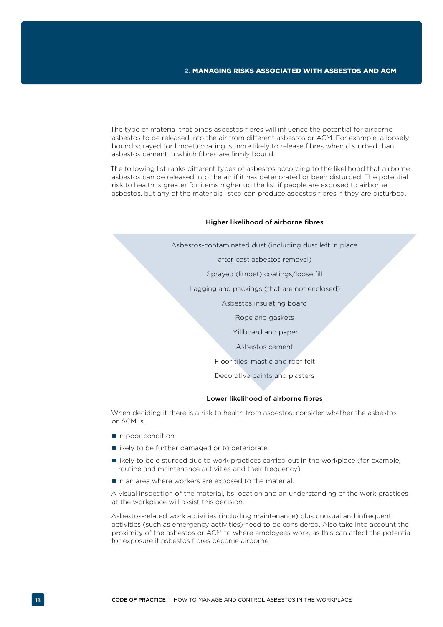The type of material that binds asbestos fibres will influence the potential for airborne asbestos to be released into the air from different asbestos or ACM. For example, a loosely bound sprayed (or limpet) coating is more likely to release fibres when disturbed than asbestos cement in which fibres are firmly bound.

The following list ranks different types of asbestos according to the likelihood that airborne asbestos can be released into the air if it has deteriorated or been disturbed. The potential risk to health is greater for items higher up the list if people are exposed to airborne asbestos, but any of the materials listed can produce asbestos fibres if they are disturbed.

#### Higher likelihood of airborne fibres

Asbestos-contaminated dust (including dust left in place

after past asbestos removal)

Sprayed (limpet) coatings/loose fill

Lagging and packings (that are not enclosed)

Asbestos insulating board

Rope and gaskets

Millboard and paper

Asbestos cement

Floor tiles, mastic and roof felt

Decorative paints and plasters

#### Lower likelihood of airborne fibres

When deciding if there is a risk to health from asbestos, consider whether the asbestos or ACM is:

- $\blacksquare$  in poor condition
- likely to be further damaged or to deteriorate
- likely to be disturbed due to work practices carried out in the workplace (for example, routine and maintenance activities and their frequency)
- $\blacksquare$  in an area where workers are exposed to the material.

A visual inspection of the material, its location and an understanding of the work practices at the workplace will assist this decision.

Asbestos-related work activities (including maintenance) plus unusual and infrequent activities (such as emergency activities) need to be considered. Also take into account the proximity of the asbestos or ACM to where employees work, as this can affect the potential for exposure if asbestos fibres become airborne.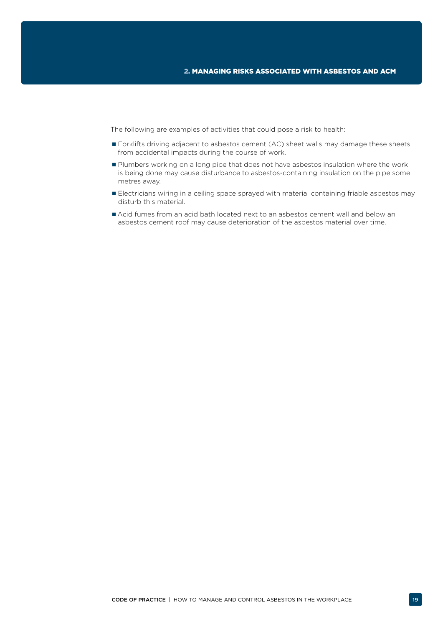The following are examples of activities that could pose a risk to health:

- **Forklifts driving adjacent to asbestos cement (AC) sheet walls may damage these sheets** from accidental impacts during the course of work.
- **Plumbers working on a long pipe that does not have asbestos insulation where the work** is being done may cause disturbance to asbestos-containing insulation on the pipe some metres away.
- **Electricians wiring in a ceiling space sprayed with material containing friable asbestos may** disturb this material.
- Acid fumes from an acid bath located next to an asbestos cement wall and below an asbestos cement roof may cause deterioration of the asbestos material over time.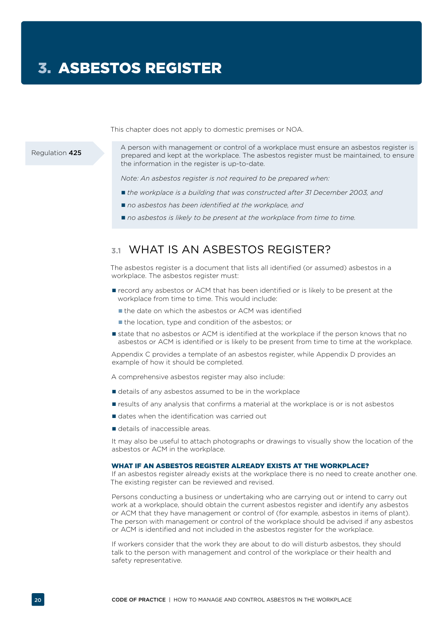This chapter does not apply to domestic premises or NOA.

<span id="page-21-0"></span>Regulation 425

A person with management or control of a workplace must ensure an asbestos register is prepared and kept at the workplace. The asbestos register must be maintained, to ensure the information in the register is up-to-date.

*Note: An asbestos register is not required to be prepared when:*

- *the workplace is a building that was constructed after 31 December 2003, and*
- no asbestos has been identified at the workplace, and
- *no asbestos is likely to be present at the workplace from time to time.*

# **3.1** WHAT IS AN ASBESTOS REGISTER?

The asbestos register is a document that lists all identified (or assumed) asbestos in a workplace. The asbestos register must:

- record any asbestos or ACM that has been identified or is likely to be present at the workplace from time to time. This would include:
	- the date on which the asbestos or ACM was identified
	- the location, type and condition of the asbestos; or
- **state that no asbestos or ACM is identified at the workplace if the person knows that no** asbestos or ACM is identified or is likely to be present from time to time at the workplace.

Appendix C provides a template of an asbestos register, while Appendix D provides an example of how it should be completed.

A comprehensive asbestos register may also include:

- details of any asbestos assumed to be in the workplace
- **F** results of any analysis that confirms a material at the workplace is or is not asbestos
- dates when the identification was carried out
- details of inaccessible areas.

It may also be useful to attach photographs or drawings to visually show the location of the asbestos or ACM in the workplace.

#### WHAT IF AN ASBESTOS REGISTER ALREADY EXISTS AT THE WORKPLACE?

If an asbestos register already exists at the workplace there is no need to create another one. The existing register can be reviewed and revised.

Persons conducting a business or undertaking who are carrying out or intend to carry out work at a workplace, should obtain the current asbestos register and identify any asbestos or ACM that they have management or control of (for example, asbestos in items of plant). The person with management or control of the workplace should be advised if any asbestos or ACM is identified and not included in the asbestos register for the workplace.

If workers consider that the work they are about to do will disturb asbestos, they should talk to the person with management and control of the workplace or their health and safety representative.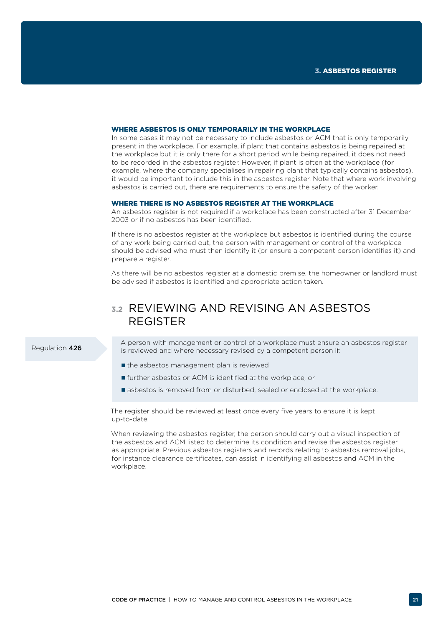#### <span id="page-22-0"></span>WHERE ASBESTOS IS ONLY TEMPORARILY IN THE WORKPLACE

In some cases it may not be necessary to include asbestos or ACM that is only temporarily present in the workplace. For example, if plant that contains asbestos is being repaired at the workplace but it is only there for a short period while being repaired, it does not need to be recorded in the asbestos register. However, if plant is often at the workplace (for example, where the company specialises in repairing plant that typically contains asbestos), it would be important to include this in the asbestos register. Note that where work involving asbestos is carried out, there are requirements to ensure the safety of the worker.

#### WHERE THERE IS NO ASBESTOS REGISTER AT THE WORKPLACE

An asbestos register is not required if a workplace has been constructed after 31 December 2003 or if no asbestos has been identified.

If there is no asbestos register at the workplace but asbestos is identified during the course of any work being carried out, the person with management or control of the workplace should be advised who must then identify it (or ensure a competent person identifies it) and prepare a register.

As there will be no asbestos register at a domestic premise, the homeowner or landlord must be advised if asbestos is identified and appropriate action taken.

# **3.2** REVIEWING AND REVISING AN ASBESTOS REGISTER

#### Regulation 426

A person with management or control of a workplace must ensure an asbestos register is reviewed and where necessary revised by a competent person if:

- $\blacksquare$  the asbestos management plan is reviewed
- further asbestos or ACM is identified at the workplace, or
- **E** asbestos is removed from or disturbed, sealed or enclosed at the workplace.

The register should be reviewed at least once every five years to ensure it is kept up-to-date.

When reviewing the asbestos register, the person should carry out a visual inspection of the asbestos and ACM listed to determine its condition and revise the asbestos register as appropriate. Previous asbestos registers and records relating to asbestos removal jobs, for instance clearance certificates, can assist in identifying all asbestos and ACM in the workplace.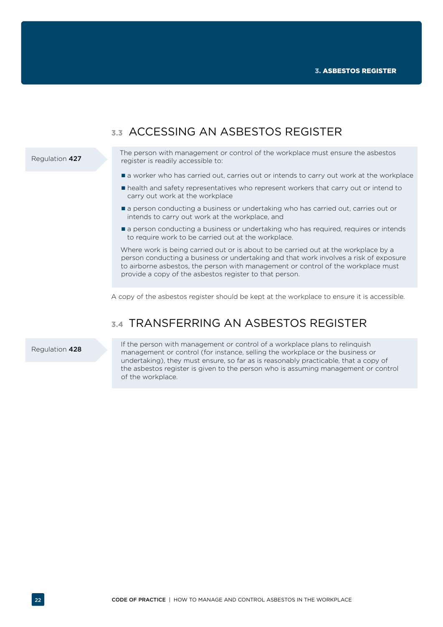## <span id="page-23-0"></span>The person with management or control of the workplace must ensure the asbestos register is readily accessible to:  $\blacksquare$  a worker who has carried out, carries out or intends to carry out work at the workplace health and safety representatives who represent workers that carry out or intend to carry out work at the workplace **a** person conducting a business or undertaking who has carried out, carries out or intends to carry out work at the workplace, and a person conducting a business or undertaking who has required, requires or intends to require work to be carried out at the workplace. Where work is being carried out or is about to be carried out at the workplace by a person conducting a business or undertaking and that work involves a risk of exposure to airborne asbestos, the person with management or control of the workplace must provide a copy of the asbestos register to that person. A copy of the asbestos register should be kept at the workplace to ensure it is accessible. Regulation 427

# **3.4** TRANSFERRING AN ASBESTOS REGISTER

### Regulation 428

If the person with management or control of a workplace plans to relinquish management or control (for instance, selling the workplace or the business or undertaking), they must ensure, so far as is reasonably practicable, that a copy of the asbestos register is given to the person who is assuming management or control of the workplace.

# **3.3** ACCESSING AN ASBESTOS REGISTER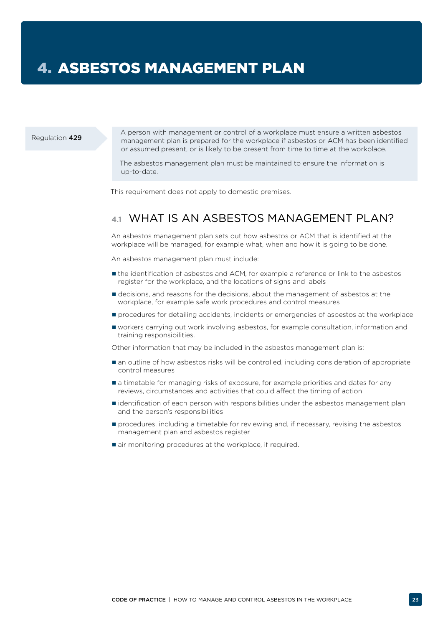# <span id="page-24-0"></span>4. ASBESTOS MANAGEMENT PLAN

#### Regulation 429

A person with management or control of a workplace must ensure a written asbestos management plan is prepared for the workplace if asbestos or ACM has been identified or assumed present, or is likely to be present from time to time at the workplace.

The asbestos management plan must be maintained to ensure the information is up-to-date.

This requirement does not apply to domestic premises.

# **4.1** WHAT IS AN ASBESTOS MANAGEMENT PLAN?

An asbestos management plan sets out how asbestos or ACM that is identified at the workplace will be managed, for example what, when and how it is going to be done.

An asbestos management plan must include:

- the identification of asbestos and ACM, for example a reference or link to the asbestos register for the workplace, and the locations of signs and labels
- decisions, and reasons for the decisions, about the management of asbestos at the workplace, for example safe work procedures and control measures
- **P** procedures for detailing accidents, incidents or emergencies of asbestos at the workplace
- workers carrying out work involving asbestos, for example consultation, information and training responsibilities.

Other information that may be included in the asbestos management plan is:

- $\blacksquare$  an outline of how asbestos risks will be controlled, including consideration of appropriate control measures
- $\blacksquare$  a timetable for managing risks of exposure, for example priorities and dates for any reviews, circumstances and activities that could affect the timing of action
- identification of each person with responsibilities under the asbestos management plan and the person's responsibilities
- **P** procedures, including a timetable for reviewing and, if necessary, revising the asbestos management plan and asbestos register
- air monitoring procedures at the workplace, if required.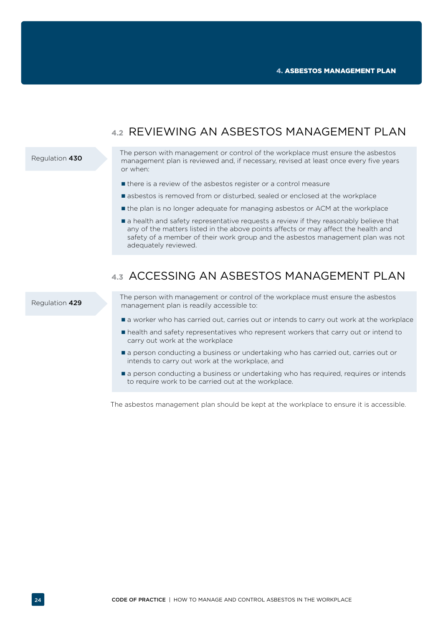# **4.2** REVIEWING AN ASBESTOS MANAGEMENT PLAN

#### <span id="page-25-0"></span>Regulation 430

The person with management or control of the workplace must ensure the asbestos management plan is reviewed and, if necessary, revised at least once every five years or when:

- $\blacksquare$  there is a review of the asbestos register or a control measure
- **E** asbestos is removed from or disturbed, sealed or enclosed at the workplace
- the plan is no longer adequate for managing asbestos or ACM at the workplace
- $\blacksquare$  a health and safety representative requests a review if they reasonably believe that any of the matters listed in the above points affects or may affect the health and safety of a member of their work group and the asbestos management plan was not adequately reviewed.

# **4.3** ACCESSING AN ASBESTOS MANAGEMENT PLAN

#### Regulation 429

The person with management or control of the workplace must ensure the asbestos management plan is readily accessible to:

- $\blacksquare$  a worker who has carried out, carries out or intends to carry out work at the workplace
- health and safety representatives who represent workers that carry out or intend to carry out work at the workplace
- **a** person conducting a business or undertaking who has carried out, carries out or intends to carry out work at the workplace, and
- **a** person conducting a business or undertaking who has required, requires or intends to require work to be carried out at the workplace.

The asbestos management plan should be kept at the workplace to ensure it is accessible.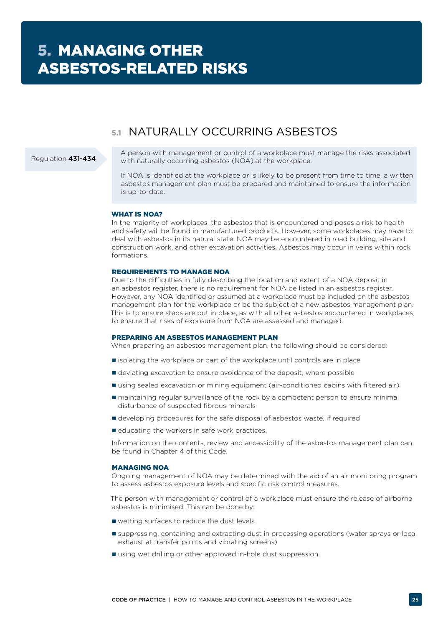# **5.1** NATURALLY OCCURRING ASBESTOS

### <span id="page-26-0"></span>Regulation 431-434

A person with management or control of a workplace must manage the risks associated with naturally occurring asbestos (NOA) at the workplace.

If NOA is identified at the workplace or is likely to be present from time to time, a written asbestos management plan must be prepared and maintained to ensure the information is up-to-date.

### WHAT IS NOA?

In the majority of workplaces, the asbestos that is encountered and poses a risk to health and safety will be found in manufactured products. However, some workplaces may have to deal with asbestos in its natural state. NOA may be encountered in road building, site and construction work, and other excavation activities. Asbestos may occur in veins within rock formations.

#### REQUIREMENTS TO MANAGE NOA

Due to the difficulties in fully describing the location and extent of a NOA deposit in an asbestos register, there is no requirement for NOA be listed in an asbestos register. However, any NOA identified or assumed at a workplace must be included on the asbestos management plan for the workplace or be the subject of a new asbestos management plan. This is to ensure steps are put in place, as with all other asbestos encountered in workplaces, to ensure that risks of exposure from NOA are assessed and managed.

### PREPARING AN ASBESTOS MANAGEMENT PLAN

When preparing an asbestos management plan, the following should be considered:

- $\blacksquare$  isolating the workplace or part of the workplace until controls are in place
- deviating excavation to ensure avoidance of the deposit, where possible
- using sealed excavation or mining equipment (air-conditioned cabins with filtered air)
- maintaining regular surveillance of the rock by a competent person to ensure minimal disturbance of suspected fibrous minerals
- developing procedures for the safe disposal of asbestos waste, if required
- educating the workers in safe work practices.

Information on the contents, review and accessibility of the asbestos management plan can be found in Chapter 4 of this Code.

### MANAGING NOA

Ongoing management of NOA may be determined with the aid of an air monitoring program to assess asbestos exposure levels and specific risk control measures.

The person with management or control of a workplace must ensure the release of airborne asbestos is minimised. This can be done by:

- wetting surfaces to reduce the dust levels
- suppressing, containing and extracting dust in processing operations (water sprays or local exhaust at transfer points and vibrating screens)
- using wet drilling or other approved in-hole dust suppression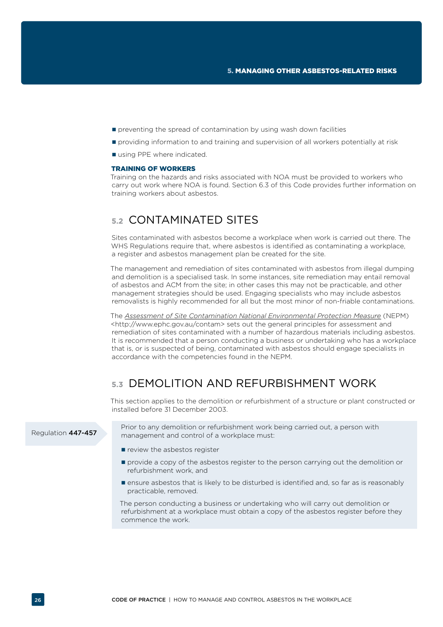- <span id="page-27-0"></span> $\blacksquare$  preventing the spread of contamination by using wash down facilities
- **providing information to and training and supervision of all workers potentially at risk**
- using PPE where indicated.

#### TRAINING OF WORKERS

Training on the hazards and risks associated with NOA must be provided to workers who carry out work where NOA is found. Section 6.3 of this Code provides further information on training workers about asbestos.

# **5.2** CONTAMINATED SITES

Sites contaminated with asbestos become a workplace when work is carried out there. The WHS Regulations require that, where asbestos is identified as contaminating a workplace, a register and asbestos management plan be created for the site.

The management and remediation of sites contaminated with asbestos from illegal dumping and demolition is a specialised task. In some instances, site remediation may entail removal of asbestos and ACM from the site; in other cases this may not be practicable, and other management strategies should be used. Engaging specialists who may include asbestos removalists is highly recommended for all but the most minor of non-friable contaminations.

The *[Assessment of Site Contamination National Environmental Protection Measure](http://www.nepc.gov.au/nepms/assessment-site-contamination)* (NEPM) <http://www.ephc.gov.au/contam> sets out the general principles for assessment and remediation of sites contaminated with a number of hazardous materials including asbestos. It is recommended that a person conducting a business or undertaking who has a workplace that is, or is suspected of being, contaminated with asbestos should engage specialists in accordance with the competencies found in the NEPM.

# **5.3** DEMOLITION AND REFURBISHMENT WORK

This section applies to the demolition or refurbishment of a structure or plant constructed or installed before 31 December 2003.

Regulation 447-457

Prior to any demolition or refurbishment work being carried out, a person with management and control of a workplace must:

- review the asbestos register
- **P** provide a copy of the asbestos register to the person carrying out the demolition or refurbishment work, and
- **E** ensure asbestos that is likely to be disturbed is identified and, so far as is reasonably practicable, removed.

The person conducting a business or undertaking who will carry out demolition or refurbishment at a workplace must obtain a copy of the asbestos register before they commence the work.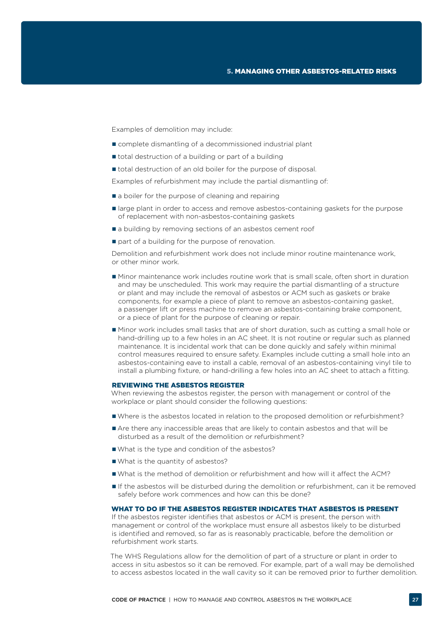Examples of demolition may include:

- complete dismantling of a decommissioned industrial plant
- total destruction of a building or part of a building
- $\blacksquare$  total destruction of an old boiler for the purpose of disposal.

Examples of refurbishment may include the partial dismantling of:

- a boiler for the purpose of cleaning and repairing
- **If** large plant in order to access and remove asbestos-containing gaskets for the purpose of replacement with non-asbestos-containing gaskets
- a building by removing sections of an asbestos cement roof
- part of a building for the purpose of renovation.

Demolition and refurbishment work does not include minor routine maintenance work, or other minor work.

- Minor maintenance work includes routine work that is small scale, often short in duration and may be unscheduled. This work may require the partial dismantling of a structure or plant and may include the removal of asbestos or ACM such as gaskets or brake components, for example a piece of plant to remove an asbestos-containing gasket, a passenger lift or press machine to remove an asbestos-containing brake component, or a piece of plant for the purpose of cleaning or repair.
- Minor work includes small tasks that are of short duration, such as cutting a small hole or hand-drilling up to a few holes in an AC sheet. It is not routine or regular such as planned maintenance. It is incidental work that can be done quickly and safely within minimal control measures required to ensure safety. Examples include cutting a small hole into an asbestos-containing eave to install a cable, removal of an asbestos-containing vinyl tile to install a plumbing fixture, or hand-drilling a few holes into an AC sheet to attach a fitting.

#### REVIEWING THE ASBESTOS REGISTER

When reviewing the asbestos register, the person with management or control of the workplace or plant should consider the following questions:

- Where is the asbestos located in relation to the proposed demolition or refurbishment?
- Are there any inaccessible areas that are likely to contain asbestos and that will be disturbed as a result of the demolition or refurbishment?
- What is the type and condition of the asbestos?
- What is the quantity of asbestos?
- What is the method of demolition or refurbishment and how will it affect the ACM?
- If the asbestos will be disturbed during the demolition or refurbishment, can it be removed safely before work commences and how can this be done?

WHAT TO DO IF THE ASBESTOS REGISTER INDICATES THAT ASBESTOS IS PRESENT

If the asbestos register identifies that asbestos or ACM is present, the person with management or control of the workplace must ensure all asbestos likely to be disturbed is identified and removed, so far as is reasonably practicable, before the demolition or refurbishment work starts.

The WHS Regulations allow for the demolition of part of a structure or plant in order to access in situ asbestos so it can be removed. For example, part of a wall may be demolished to access asbestos located in the wall cavity so it can be removed prior to further demolition.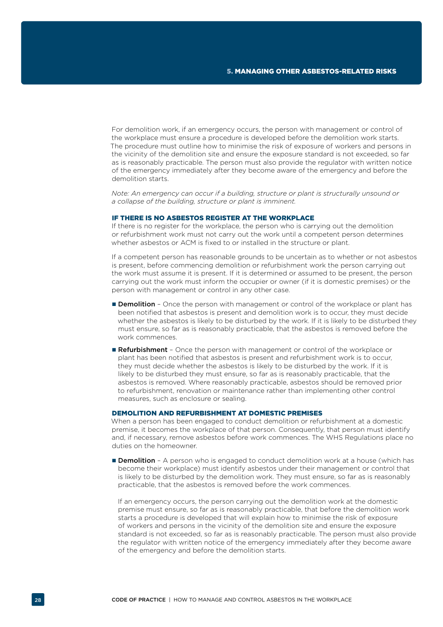For demolition work, if an emergency occurs, the person with management or control of the workplace must ensure a procedure is developed before the demolition work starts. The procedure must outline how to minimise the risk of exposure of workers and persons in the vicinity of the demolition site and ensure the exposure standard is not exceeded, so far as is reasonably practicable. The person must also provide the regulator with written notice of the emergency immediately after they become aware of the emergency and before the demolition starts.

*Note: An emergency can occur if a building, structure or plant is structurally unsound or a collapse of the building, structure or plant is imminent.*

#### IF THERE IS NO ASBESTOS REGISTER AT THE WORKPLACE

If there is no register for the workplace, the person who is carrying out the demolition or refurbishment work must not carry out the work until a competent person determines whether asbestos or ACM is fixed to or installed in the structure or plant.

If a competent person has reasonable grounds to be uncertain as to whether or not asbestos is present, before commencing demolition or refurbishment work the person carrying out the work must assume it is present. If it is determined or assumed to be present, the person carrying out the work must inform the occupier or owner (if it is domestic premises) or the person with management or control in any other case.

- **Demolition** Once the person with management or control of the workplace or plant has been notified that asbestos is present and demolition work is to occur, they must decide whether the asbestos is likely to be disturbed by the work. If it is likely to be disturbed they must ensure, so far as is reasonably practicable, that the asbestos is removed before the work commences.
- **Refurbishment** Once the person with management or control of the workplace or plant has been notified that asbestos is present and refurbishment work is to occur, they must decide whether the asbestos is likely to be disturbed by the work. If it is likely to be disturbed they must ensure, so far as is reasonably practicable, that the asbestos is removed. Where reasonably practicable, asbestos should be removed prior to refurbishment, renovation or maintenance rather than implementing other control measures, such as enclosure or sealing.

## DEMOLITION AND REFURBISHMENT AT DOMESTIC PREMISES

When a person has been engaged to conduct demolition or refurbishment at a domestic premise, it becomes the workplace of that person. Consequently, that person must identify and, if necessary, remove asbestos before work commences. The WHS Regulations place no duties on the homeowner.

**Demolition** - A person who is engaged to conduct demolition work at a house (which has become their workplace) must identify asbestos under their management or control that is likely to be disturbed by the demolition work. They must ensure, so far as is reasonably practicable, that the asbestos is removed before the work commences.

If an emergency occurs, the person carrying out the demolition work at the domestic premise must ensure, so far as is reasonably practicable, that before the demolition work starts a procedure is developed that will explain how to minimise the risk of exposure of workers and persons in the vicinity of the demolition site and ensure the exposure standard is not exceeded, so far as is reasonably practicable. The person must also provide the regulator with written notice of the emergency immediately after they become aware of the emergency and before the demolition starts.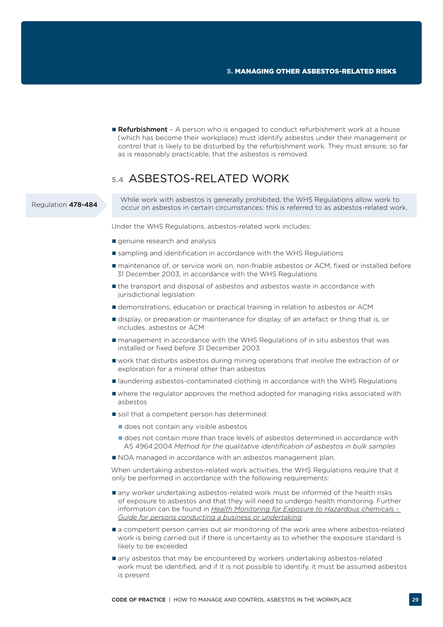<span id="page-30-0"></span>■ Refurbishment - A person who is engaged to conduct refurbishment work at a house (which has become their workplace) must identify asbestos under their management or control that is likely to be disturbed by the refurbishment work. They must ensure, so far as is reasonably practicable, that the asbestos is removed.

# **5.4** ASBESTOS-RELATED WORK

### Regulation 478-484

While work with asbestos is generally prohibited, the WHS Regulations allow work to occur on asbestos in certain circumstances: this is referred to as asbestos-related work.

Under the WHS Regulations, asbestos-related work includes:

- **q**enuine research and analysis
- sampling and identification in accordance with the WHS Regulations
- maintenance of, or service work on, non-friable asbestos or ACM, fixed or installed before 31 December 2003, in accordance with the WHS Regulations
- the transport and disposal of asbestos and asbestos waste in accordance with jurisdictional legislation
- demonstrations, education or practical training in relation to asbestos or ACM
- display, or preparation or maintenance for display, of an artefact or thing that is, or includes, asbestos or ACM
- management in accordance with the WHS Regulations of in situ asbestos that was installed or fixed before 31 December 2003
- work that disturbs asbestos during mining operations that involve the extraction of or exploration for a mineral other than asbestos
- **I** laundering asbestos-contaminated clothing in accordance with the WHS Regulations
- where the regulator approves the method adopted for managing risks associated with asbestos
- soil that a competent person has determined:
	- does not contain any visible asbestos
	- does not contain more than trace levels of asbestos determined in accordance with AS 4964:2004 *Method for the qualitative identification of asbestos in bulk samples*
- $\blacksquare$  NOA managed in accordance with an asbestos management plan.

When undertaking asbestos-related work activities, the WHS Regulations require that it only be performed in accordance with the following requirements:

- any worker undertaking asbestos-related work must be informed of the health risks of exposure to asbestos and that they will need to undergo health monitoring. Further information can be found in *[Health Monitoring for Exposure to Hazardous chemicals -](http://www.safeworkaustralia.gov.au/sites/swa/about/publications/pages/health-monitoring-guide-pcbu)  [Guide for persons conducting a business or undertaking](http://www.safeworkaustralia.gov.au/sites/swa/about/publications/pages/health-monitoring-guide-pcbu)*.
- **a** competent person carries out air monitoring of the work area where asbestos-related work is being carried out if there is uncertainty as to whether the exposure standard is likely to be exceeded
- any asbestos that may be encountered by workers undertaking asbestos-related work must be identified, and if it is not possible to identify, it must be assumed asbestos is present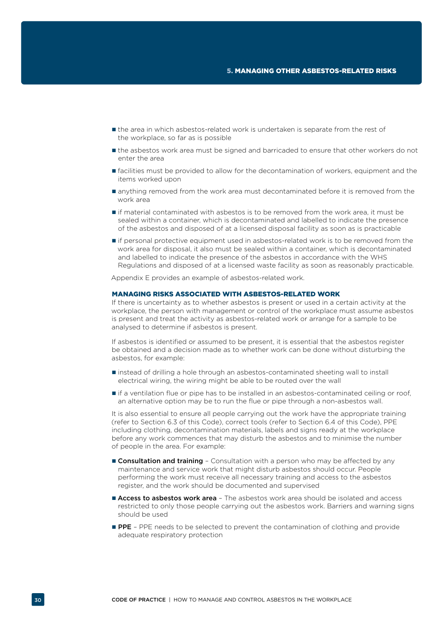- the area in which asbestos-related work is undertaken is separate from the rest of the workplace, so far as is possible
- the asbestos work area must be signed and barricaded to ensure that other workers do not enter the area
- $\blacksquare$  facilities must be provided to allow for the decontamination of workers, equipment and the items worked upon
- anything removed from the work area must decontaminated before it is removed from the work area
- if material contaminated with asbestos is to be removed from the work area, it must be sealed within a container, which is decontaminated and labelled to indicate the presence of the asbestos and disposed of at a licensed disposal facility as soon as is practicable
- if personal protective equipment used in asbestos-related work is to be removed from the work area for disposal, it also must be sealed within a container, which is decontaminated and labelled to indicate the presence of the asbestos in accordance with the WHS Regulations and disposed of at a licensed waste facility as soon as reasonably practicable.

Appendix E provides an example of asbestos-related work.

#### MANAGING RISKS ASSOCIATED WITH ASBESTOS-RELATED WORK

If there is uncertainty as to whether asbestos is present or used in a certain activity at the workplace, the person with management or control of the workplace must assume asbestos is present and treat the activity as asbestos-related work or arrange for a sample to be analysed to determine if asbestos is present.

If asbestos is identified or assumed to be present, it is essential that the asbestos register be obtained and a decision made as to whether work can be done without disturbing the asbestos, for example:

- instead of drilling a hole through an asbestos-contaminated sheeting wall to install electrical wiring, the wiring might be able to be routed over the wall
- if a ventilation flue or pipe has to be installed in an asbestos-contaminated ceiling or roof, an alternative option may be to run the flue or pipe through a non-asbestos wall.

It is also essential to ensure all people carrying out the work have the appropriate training (refer to Section 6.3 of this Code), correct tools (refer to Section 6.4 of this Code), PPE including clothing, decontamination materials, labels and signs ready at the workplace before any work commences that may disturb the asbestos and to minimise the number of people in the area. For example:

- **Consultation and training** Consultation with a person who may be affected by any maintenance and service work that might disturb asbestos should occur. People performing the work must receive all necessary training and access to the asbestos register, and the work should be documented and supervised
- **Access to asbestos work area** The asbestos work area should be isolated and access restricted to only those people carrying out the asbestos work. Barriers and warning signs should be used
- **PPE** PPE needs to be selected to prevent the contamination of clothing and provide adequate respiratory protection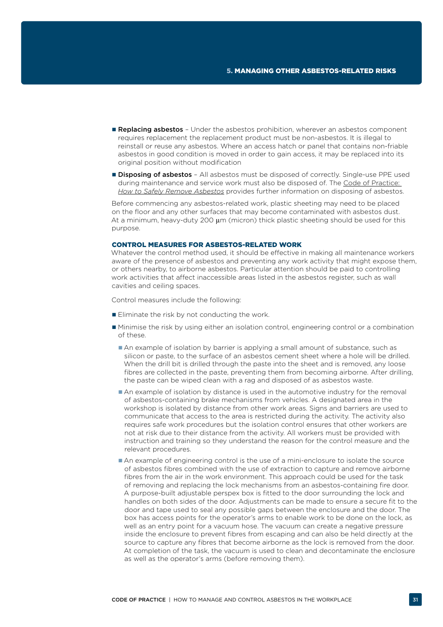- Replacing asbestos Under the asbestos prohibition, wherever an asbestos component requires replacement the replacement product must be non-asbestos. It is illegal to reinstall or reuse any asbestos. Where an access hatch or panel that contains non-friable asbestos in good condition is moved in order to gain access, it may be replaced into its original position without modification
- **Disposing of asbestos** All asbestos must be disposed of correctly. Single-use PPE used during maintenance and service work must also be disposed of. The Code of Practice: *[How to Safely Remove Asbestos](http://www.safeworkaustralia.gov.au/sites/swa/about/publications/pages/safely-remove-asbestos-cop)* provides further information on disposing of asbestos.

Before commencing any asbestos-related work, plastic sheeting may need to be placed on the floor and any other surfaces that may become contaminated with asbestos dust. At a minimum, heavy-duty 200  $\mu$ m (micron) thick plastic sheeting should be used for this purpose.

#### CONTROL MEASURES FOR ASBESTOS-RELATED WORK

Whatever the control method used, it should be effective in making all maintenance workers aware of the presence of asbestos and preventing any work activity that might expose them, or others nearby, to airborne asbestos. Particular attention should be paid to controlling work activities that affect inaccessible areas listed in the asbestos register, such as wall cavities and ceiling spaces.

Control measures include the following:

- $\blacksquare$  Eliminate the risk by not conducting the work.
- Minimise the risk by using either an isolation control, engineering control or a combination of these.
	- An example of isolation by barrier is applying a small amount of substance, such as silicon or paste, to the surface of an asbestos cement sheet where a hole will be drilled. When the drill bit is drilled through the paste into the sheet and is removed, any loose fibres are collected in the paste, preventing them from becoming airborne. After drilling, the paste can be wiped clean with a rag and disposed of as asbestos waste.
	- An example of isolation by distance is used in the automotive industry for the removal of asbestos-containing brake mechanisms from vehicles. A designated area in the workshop is isolated by distance from other work areas. Signs and barriers are used to communicate that access to the area is restricted during the activity. The activity also requires safe work procedures but the isolation control ensures that other workers are not at risk due to their distance from the activity. All workers must be provided with instruction and training so they understand the reason for the control measure and the relevant procedures.
	- An example of engineering control is the use of a mini-enclosure to isolate the source of asbestos fibres combined with the use of extraction to capture and remove airborne fibres from the air in the work environment. This approach could be used for the task of removing and replacing the lock mechanisms from an asbestos-containing fire door. A purpose-built adjustable perspex box is fitted to the door surrounding the lock and handles on both sides of the door. Adjustments can be made to ensure a secure fit to the door and tape used to seal any possible gaps between the enclosure and the door. The box has access points for the operator's arms to enable work to be done on the lock, as well as an entry point for a vacuum hose. The vacuum can create a negative pressure inside the enclosure to prevent fibres from escaping and can also be held directly at the source to capture any fibres that become airborne as the lock is removed from the door. At completion of the task, the vacuum is used to clean and decontaminate the enclosure as well as the operator's arms (before removing them).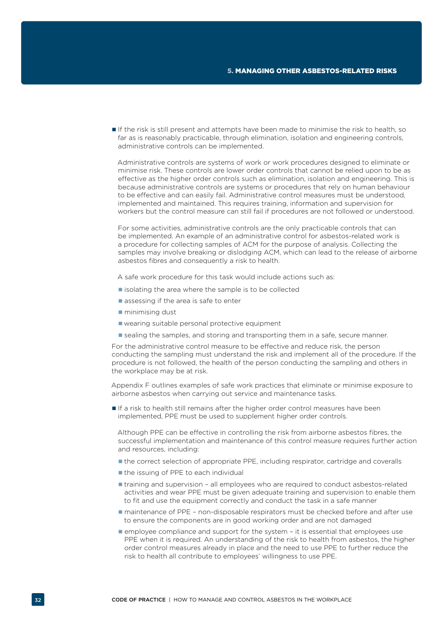If the risk is still present and attempts have been made to minimise the risk to health, so far as is reasonably practicable, through elimination, isolation and engineering controls, administrative controls can be implemented.

Administrative controls are systems of work or work procedures designed to eliminate or minimise risk. These controls are lower order controls that cannot be relied upon to be as effective as the higher order controls such as elimination, isolation and engineering. This is because administrative controls are systems or procedures that rely on human behaviour to be effective and can easily fail. Administrative control measures must be understood, implemented and maintained. This requires training, information and supervision for workers but the control measure can still fail if procedures are not followed or understood.

For some activities, administrative controls are the only practicable controls that can be implemented. An example of an administrative control for asbestos-related work is a procedure for collecting samples of ACM for the purpose of analysis. Collecting the samples may involve breaking or dislodging ACM, which can lead to the release of airborne asbestos fibres and consequently a risk to health.

A safe work procedure for this task would include actions such as:

- $\blacksquare$  isolating the area where the sample is to be collected
- assessing if the area is safe to enter
- minimising dust
- wearing suitable personal protective equipment
- **sealing the samples, and storing and transporting them in a safe, secure manner.**

For the administrative control measure to be effective and reduce risk, the person conducting the sampling must understand the risk and implement all of the procedure. If the procedure is not followed, the health of the person conducting the sampling and others in the workplace may be at risk.

Appendix F outlines examples of safe work practices that eliminate or minimise exposure to airborne asbestos when carrying out service and maintenance tasks.

 If a risk to health still remains after the higher order control measures have been implemented, PPE must be used to supplement higher order controls.

Although PPE can be effective in controlling the risk from airborne asbestos fibres, the successful implementation and maintenance of this control measure requires further action and resources, including:

- the correct selection of appropriate PPE, including respirator, cartridge and coveralls
- the issuing of PPE to each individual
- training and supervision all employees who are required to conduct asbestos-related activities and wear PPE must be given adequate training and supervision to enable them to fit and use the equipment correctly and conduct the task in a safe manner
- maintenance of PPE non-disposable respirators must be checked before and after use to ensure the components are in good working order and are not damaged
- employee compliance and support for the system it is essential that employees use PPE when it is required. An understanding of the risk to health from asbestos, the higher order control measures already in place and the need to use PPE to further reduce the risk to health all contribute to employees' willingness to use PPE.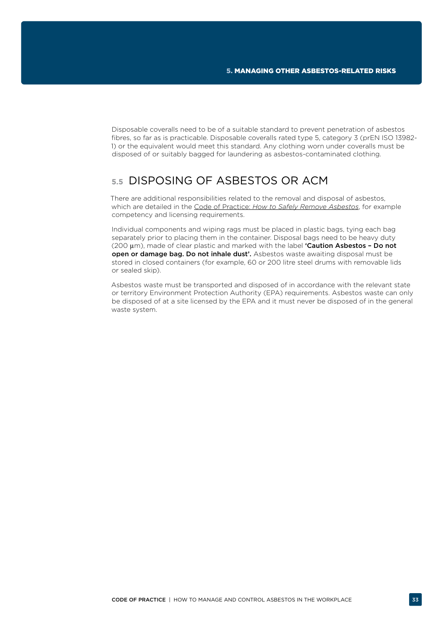<span id="page-34-0"></span>Disposable coveralls need to be of a suitable standard to prevent penetration of asbestos fibres, so far as is practicable. Disposable coveralls rated type 5, category 3 (prEN ISO 13982- 1) or the equivalent would meet this standard. Any clothing worn under coveralls must be disposed of or suitably bagged for laundering as asbestos-contaminated clothing.

# **5.5** DISPOSING OF ASBESTOS OR ACM

There are additional responsibilities related to the removal and disposal of asbestos, which are detailed in the Code of Practice: *[How to Safely Remove Asbestos](http://www.safeworkaustralia.gov.au/sites/swa/about/publications/pages/safely-remove-asbestos-cop)*, for example competency and licensing requirements.

Individual components and wiping rags must be placed in plastic bags, tying each bag separately prior to placing them in the container. Disposal bags need to be heavy duty  $(200 \,\mu m)$ , made of clear plastic and marked with the label **'Caution Asbestos - Do not** open or damage bag. Do not inhale dust'. Asbestos waste awaiting disposal must be stored in closed containers (for example, 60 or 200 litre steel drums with removable lids or sealed skip).

Asbestos waste must be transported and disposed of in accordance with the relevant state or territory Environment Protection Authority (EPA) requirements. Asbestos waste can only be disposed of at a site licensed by the EPA and it must never be disposed of in the general waste system.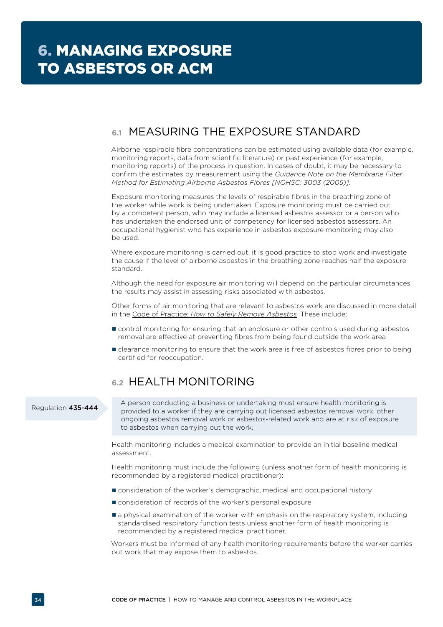# <span id="page-35-0"></span>**6.1** MEASURING THE EXPOSURE STANDARD

Airborne respirable fibre concentrations can be estimated using available data (for example, monitoring reports, data from scientific literature) or past experience (for example, monitoring reports) of the process in question. In cases of doubt, it may be necessary to confirm the estimates by measurement using the *Guidance Note on the Membrane Filter Method for Estimating Airborne Asbestos Fibres [NOHSC: 3003 (2005)].*

Exposure monitoring measures the levels of respirable fibres in the breathing zone of the worker while work is being undertaken. Exposure monitoring must be carried out by a competent person, who may include a licensed asbestos assessor or a person who has undertaken the endorsed unit of competency for licensed asbestos assessors. An occupational hygienist who has experience in asbestos exposure monitoring may also be used.

Where exposure monitoring is carried out, it is good practice to stop work and investigate the cause if the level of airborne asbestos in the breathing zone reaches half the exposure standard.

Although the need for exposure air monitoring will depend on the particular circumstances, the results may assist in assessing risks associated with asbestos.

Other forms of air monitoring that are relevant to asbestos work are discussed in more detail in the Code of Practice: *[How to Safely Remove Asbestos.](http://www.safeworkaustralia.gov.au/sites/swa/about/publications/pages/safely-remove-asbestos-cop)* These include:

- **Control monitoring for ensuring that an enclosure or other controls used during asbestos** removal are effective at preventing fibres from being found outside the work area
- **E** clearance monitoring to ensure that the work area is free of asbestos fibres prior to being certified for reoccupation.

# **6.2** HEALTH MONITORING

### Regulation 435-444

A person conducting a business or undertaking must ensure health monitoring is provided to a worker if they are carrying out licensed asbestos removal work, other ongoing asbestos removal work or asbestos-related work and are at risk of exposure to asbestos when carrying out the work.

Health monitoring includes a medical examination to provide an initial baseline medical assessment.

Health monitoring must include the following (unless another form of health monitoring is recommended by a registered medical practitioner):

- consideration of the worker's demographic, medical and occupational history
- consideration of records of the worker's personal exposure
- a physical examination of the worker with emphasis on the respiratory system, including standardised respiratory function tests unless another form of health monitoring is recommended by a registered medical practitioner.

Workers must be informed of any health monitoring requirements before the worker carries out work that may expose them to asbestos.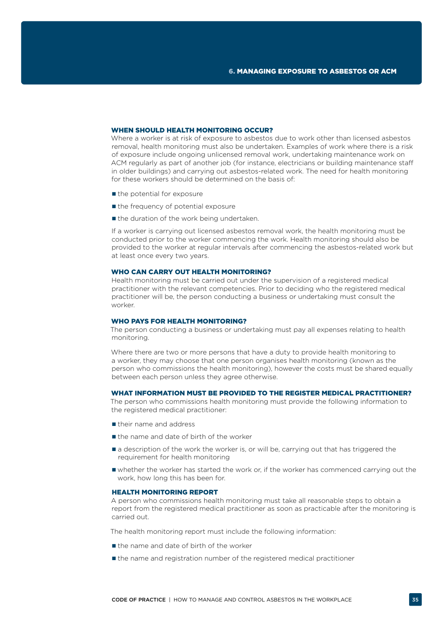### WHEN SHOULD HEALTH MONITORING OCCUR?

Where a worker is at risk of exposure to asbestos due to work other than licensed asbestos removal, health monitoring must also be undertaken. Examples of work where there is a risk of exposure include ongoing unlicensed removal work, undertaking maintenance work on ACM regularly as part of another job (for instance, electricians or building maintenance staff in older buildings) and carrying out asbestos-related work. The need for health monitoring for these workers should be determined on the basis of:

- $\blacksquare$  the potential for exposure
- $\blacksquare$  the frequency of potential exposure
- $\blacksquare$  the duration of the work being undertaken.

If a worker is carrying out licensed asbestos removal work, the health monitoring must be conducted prior to the worker commencing the work. Health monitoring should also be provided to the worker at regular intervals after commencing the asbestos-related work but at least once every two years.

### WHO CAN CARRY OUT HEALTH MONITORING?

Health monitoring must be carried out under the supervision of a registered medical practitioner with the relevant competencies. Prior to deciding who the registered medical practitioner will be, the person conducting a business or undertaking must consult the worker.

#### WHO PAYS FOR HEALTH MONITORING?

The person conducting a business or undertaking must pay all expenses relating to health monitoring.

Where there are two or more persons that have a duty to provide health monitoring to a worker, they may choose that one person organises health monitoring (known as the person who commissions the health monitoring), however the costs must be shared equally between each person unless they agree otherwise.

#### WHAT INFORMATION MUST BE PROVIDED TO THE REGISTER MEDICAL PRACTITIONER?

The person who commissions health monitoring must provide the following information to the registered medical practitioner:

- their name and address
- the name and date of birth of the worker
- **a** description of the work the worker is, or will be, carrying out that has triggered the requirement for health monitoring
- whether the worker has started the work or, if the worker has commenced carrying out the work, how long this has been for.

### HEALTH MONITORING REPORT

A person who commissions health monitoring must take all reasonable steps to obtain a report from the registered medical practitioner as soon as practicable after the monitoring is carried out.

The health monitoring report must include the following information:

- $\blacksquare$  the name and date of birth of the worker
- **If** the name and registration number of the registered medical practitioner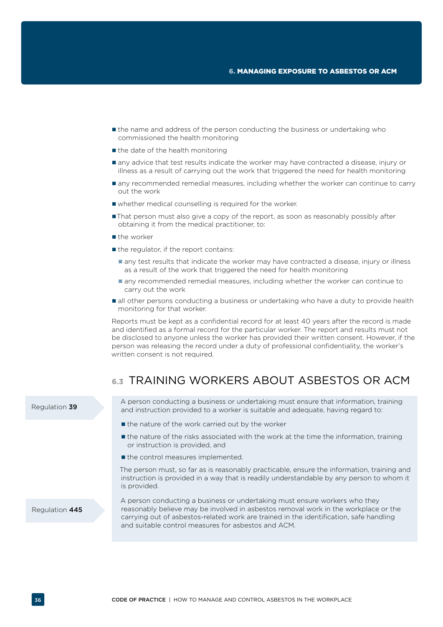- <span id="page-37-0"></span> the name and address of the person conducting the business or undertaking who commissioned the health monitoring
- $\blacksquare$  the date of the health monitoring
- $\blacksquare$  any advice that test results indicate the worker may have contracted a disease, injury or illness as a result of carrying out the work that triggered the need for health monitoring
- any recommended remedial measures, including whether the worker can continue to carry out the work
- whether medical counselling is required for the worker.
- That person must also give a copy of the report, as soon as reasonably possibly after obtaining it from the medical practitioner, to:
- the worker
- $\blacksquare$  the regulator, if the report contains:
	- any test results that indicate the worker may have contracted a disease, injury or illness as a result of the work that triggered the need for health monitoring
	- any recommended remedial measures, including whether the worker can continue to carry out the work
- $\blacksquare$  all other persons conducting a business or undertaking who have a duty to provide health monitoring for that worker.

Reports must be kept as a confidential record for at least 40 years after the record is made and identified as a formal record for the particular worker. The report and results must not be disclosed to anyone unless the worker has provided their written consent. However, if the person was releasing the record under a duty of professional confidentiality, the worker's written consent is not required.

# **6.3** TRAINING WORKERS ABOUT ASBESTOS OR ACM

|                | and suitable control measures for asbestos and ACM.                                                                                                                                                                                                         |
|----------------|-------------------------------------------------------------------------------------------------------------------------------------------------------------------------------------------------------------------------------------------------------------|
| Regulation 445 | A person conducting a business or undertaking must ensure workers who they<br>reasonably believe may be involved in asbestos removal work in the workplace or the<br>carrying out of asbestos-related work are trained in the identification, safe handling |
|                | The person must, so far as is reasonably practicable, ensure the information, training and<br>instruction is provided in a way that is readily understandable by any person to whom it<br>is provided.                                                      |
|                | If the control measures implemented.                                                                                                                                                                                                                        |
|                | <b>If</b> the nature of the risks associated with the work at the time the information, training<br>or instruction is provided, and                                                                                                                         |
|                | ■ the nature of the work carried out by the worker                                                                                                                                                                                                          |
| Regulation 39  | A person conducting a business or undertaking must ensure that information, training<br>and instruction provided to a worker is suitable and adequate, having regard to:                                                                                    |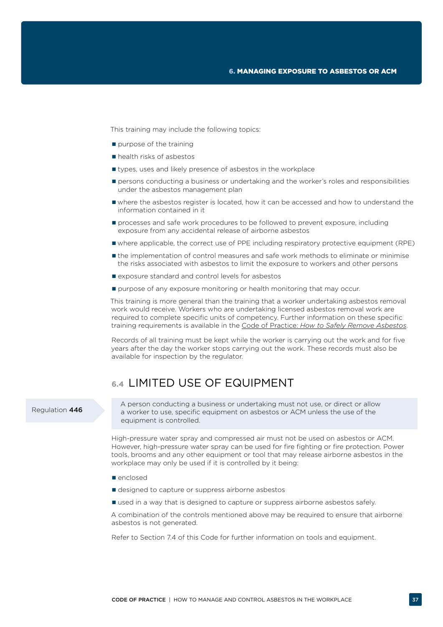<span id="page-38-0"></span>This training may include the following topics:

- $\blacksquare$  purpose of the training
- health risks of asbestos
- **If** types, uses and likely presence of asbestos in the workplace
- **Persons conducting a business or undertaking and the worker's roles and responsibilities** under the asbestos management plan
- where the asbestos register is located, how it can be accessed and how to understand the information contained in it
- $\blacksquare$  processes and safe work procedures to be followed to prevent exposure, including exposure from any accidental release of airborne asbestos
- where applicable, the correct use of PPE including respiratory protective equipment (RPE)
- the implementation of control measures and safe work methods to eliminate or minimise the risks associated with asbestos to limit the exposure to workers and other persons
- $\blacksquare$  exposure standard and control levels for asbestos
- **P** purpose of any exposure monitoring or health monitoring that may occur.

This training is more general than the training that a worker undertaking asbestos removal work would receive. Workers who are undertaking licensed asbestos removal work are required to complete specific units of competency. Further information on these specific training requirements is available in the Code of Practice: *[How to Safely Remove Asbestos](http://www.safeworkaustralia.gov.au/sites/swa/about/publications/pages/safely-remove-asbestos-cop)*.

Records of all training must be kept while the worker is carrying out the work and for five years after the day the worker stops carrying out the work. These records must also be available for inspection by the regulator.

# **6.4** LIMITED USE OF EQUIPMENT

### Regulation 446

A person conducting a business or undertaking must not use, or direct or allow a worker to use, specific equipment on asbestos or ACM unless the use of the equipment is controlled.

High-pressure water spray and compressed air must not be used on asbestos or ACM. However, high-pressure water spray can be used for fire fighting or fire protection. Power tools, brooms and any other equipment or tool that may release airborne asbestos in the workplace may only be used if it is controlled by it being:

- enclosed
- designed to capture or suppress airborne asbestos
- used in a way that is designed to capture or suppress airborne asbestos safely.

A combination of the controls mentioned above may be required to ensure that airborne asbestos is not generated.

Refer to Section 7.4 of this Code for further information on tools and equipment.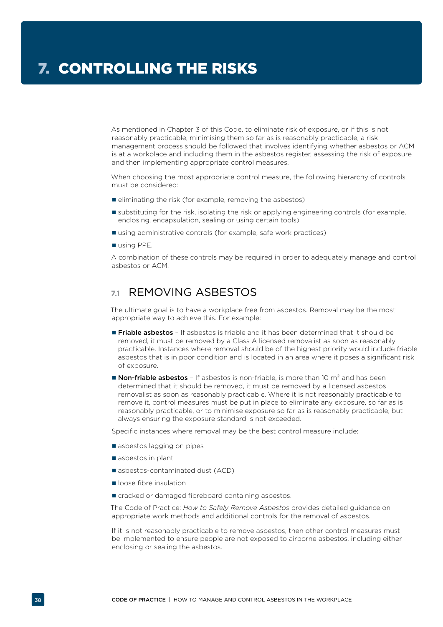<span id="page-39-0"></span>As mentioned in Chapter 3 of this Code, to eliminate risk of exposure, or if this is not reasonably practicable, minimising them so far as is reasonably practicable, a risk management process should be followed that involves identifying whether asbestos or ACM is at a workplace and including them in the asbestos register, assessing the risk of exposure and then implementing appropriate control measures.

When choosing the most appropriate control measure, the following hierarchy of controls must be considered:

- eliminating the risk (for example, removing the asbestos)
- substituting for the risk, isolating the risk or applying engineering controls (for example, enclosing, encapsulation, sealing or using certain tools)
- using administrative controls (for example, safe work practices)
- using PPE.

A combination of these controls may be required in order to adequately manage and control asbestos or ACM.

# **7.1** REMOVING ASBESTOS

The ultimate goal is to have a workplace free from asbestos. Removal may be the most appropriate way to achieve this. For example:

- **Friable asbestos** If asbestos is friable and it has been determined that it should be removed, it must be removed by a Class A licensed removalist as soon as reasonably practicable. Instances where removal should be of the highest priority would include friable asbestos that is in poor condition and is located in an area where it poses a significant risk of exposure.
- **Non-friable asbestos** If asbestos is non-friable, is more than 10  $m^2$  and has been determined that it should be removed, it must be removed by a licensed asbestos removalist as soon as reasonably practicable. Where it is not reasonably practicable to remove it, control measures must be put in place to eliminate any exposure, so far as is reasonably practicable, or to minimise exposure so far as is reasonably practicable, but always ensuring the exposure standard is not exceeded.

Specific instances where removal may be the best control measure include:

- asbestos lagging on pipes
- asbestos in plant
- asbestos-contaminated dust (ACD)
- loose fibre insulation
- cracked or damaged fibreboard containing asbestos.

The Code of Practice: *[How to Safely Remove Asbestos](http://www.safeworkaustralia.gov.au/sites/swa/about/publications/pages/safely-remove-asbestos-cop)* provides detailed guidance on appropriate work methods and additional controls for the removal of asbestos.

If it is not reasonably practicable to remove asbestos, then other control measures must be implemented to ensure people are not exposed to airborne asbestos, including either enclosing or sealing the asbestos.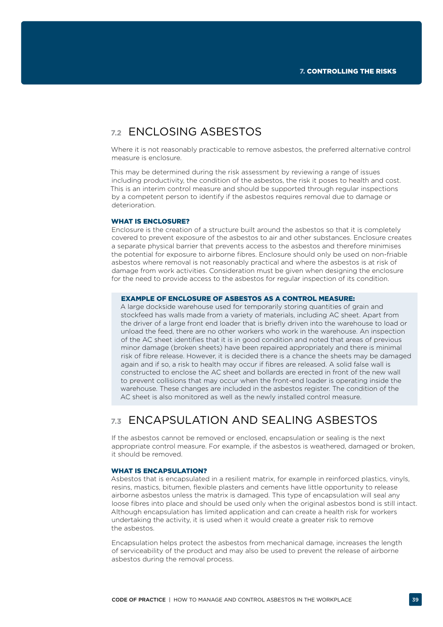# <span id="page-40-0"></span>**7.2** ENCLOSING ASBESTOS

Where it is not reasonably practicable to remove asbestos, the preferred alternative control measure is enclosure.

This may be determined during the risk assessment by reviewing a range of issues including productivity, the condition of the asbestos, the risk it poses to health and cost. This is an interim control measure and should be supported through regular inspections by a competent person to identify if the asbestos requires removal due to damage or deterioration.

#### WHAT IS ENCLOSURE?

Enclosure is the creation of a structure built around the asbestos so that it is completely covered to prevent exposure of the asbestos to air and other substances. Enclosure creates a separate physical barrier that prevents access to the asbestos and therefore minimises the potential for exposure to airborne fibres. Enclosure should only be used on non-friable asbestos where removal is not reasonably practical and where the asbestos is at risk of damage from work activities. Consideration must be given when designing the enclosure for the need to provide access to the asbestos for regular inspection of its condition.

### EXAMPLE OF ENCLOSURE OF ASBESTOS AS A CONTROL MEASURE:

A large dockside warehouse used for temporarily storing quantities of grain and stockfeed has walls made from a variety of materials, including AC sheet. Apart from the driver of a large front end loader that is briefly driven into the warehouse to load or unload the feed, there are no other workers who work in the warehouse. An inspection of the AC sheet identifies that it is in good condition and noted that areas of previous minor damage (broken sheets) have been repaired appropriately and there is minimal risk of fibre release. However, it is decided there is a chance the sheets may be damaged again and if so, a risk to health may occur if fibres are released. A solid false wall is constructed to enclose the AC sheet and bollards are erected in front of the new wall to prevent collisions that may occur when the front-end loader is operating inside the warehouse. These changes are included in the asbestos register. The condition of the AC sheet is also monitored as well as the newly installed control measure.

# **7.3** ENCAPSULATION AND SEALING ASBESTOS

If the asbestos cannot be removed or enclosed, encapsulation or sealing is the next appropriate control measure. For example, if the asbestos is weathered, damaged or broken, it should be removed.

### WHAT IS ENCAPSULATION?

Asbestos that is encapsulated in a resilient matrix, for example in reinforced plastics, vinyls, resins, mastics, bitumen, flexible plasters and cements have little opportunity to release airborne asbestos unless the matrix is damaged. This type of encapsulation will seal any loose fibres into place and should be used only when the original asbestos bond is still intact. Although encapsulation has limited application and can create a health risk for workers undertaking the activity, it is used when it would create a greater risk to remove the asbestos.

Encapsulation helps protect the asbestos from mechanical damage, increases the length of serviceability of the product and may also be used to prevent the release of airborne asbestos during the removal process.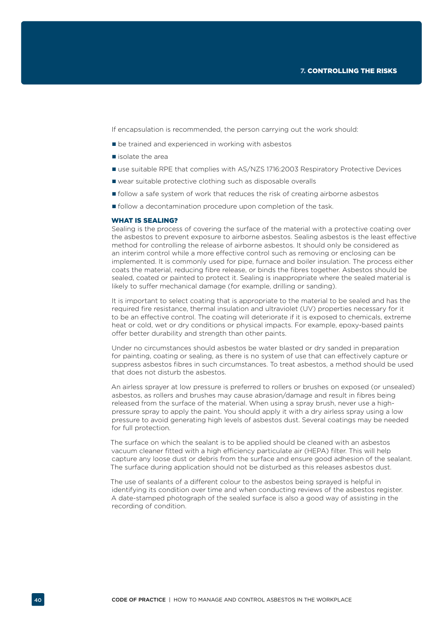If encapsulation is recommended, the person carrying out the work should:

- $\blacksquare$  be trained and experienced in working with asbestos
- isolate the area
- use suitable RPE that complies with AS/NZS 1716:2003 Respiratory Protective Devices
- wear suitable protective clothing such as disposable overalls
- follow a safe system of work that reduces the risk of creating airborne asbestos
- **follow a decontamination procedure upon completion of the task.**

#### WHAT IS SEALING?

Sealing is the process of covering the surface of the material with a protective coating over the asbestos to prevent exposure to airborne asbestos. Sealing asbestos is the least effective method for controlling the release of airborne asbestos. It should only be considered as an interim control while a more effective control such as removing or enclosing can be implemented. It is commonly used for pipe, furnace and boiler insulation. The process either coats the material, reducing fibre release, or binds the fibres together. Asbestos should be sealed, coated or painted to protect it. Sealing is inappropriate where the sealed material is likely to suffer mechanical damage (for example, drilling or sanding).

It is important to select coating that is appropriate to the material to be sealed and has the required fire resistance, thermal insulation and ultraviolet (UV) properties necessary for it to be an effective control. The coating will deteriorate if it is exposed to chemicals, extreme heat or cold, wet or dry conditions or physical impacts. For example, epoxy-based paints offer better durability and strength than other paints.

Under no circumstances should asbestos be water blasted or dry sanded in preparation for painting, coating or sealing, as there is no system of use that can effectively capture or suppress asbestos fibres in such circumstances. To treat asbestos, a method should be used that does not disturb the asbestos.

An airless sprayer at low pressure is preferred to rollers or brushes on exposed (or unsealed) asbestos, as rollers and brushes may cause abrasion/damage and result in fibres being released from the surface of the material. When using a spray brush, never use a highpressure spray to apply the paint. You should apply it with a dry airless spray using a low pressure to avoid generating high levels of asbestos dust. Several coatings may be needed for full protection.

The surface on which the sealant is to be applied should be cleaned with an asbestos vacuum cleaner fitted with a high efficiency particulate air (HEPA) filter. This will help capture any loose dust or debris from the surface and ensure good adhesion of the sealant. The surface during application should not be disturbed as this releases asbestos dust.

The use of sealants of a different colour to the asbestos being sprayed is helpful in identifying its condition over time and when conducting reviews of the asbestos register. A date-stamped photograph of the sealed surface is also a good way of assisting in the recording of condition.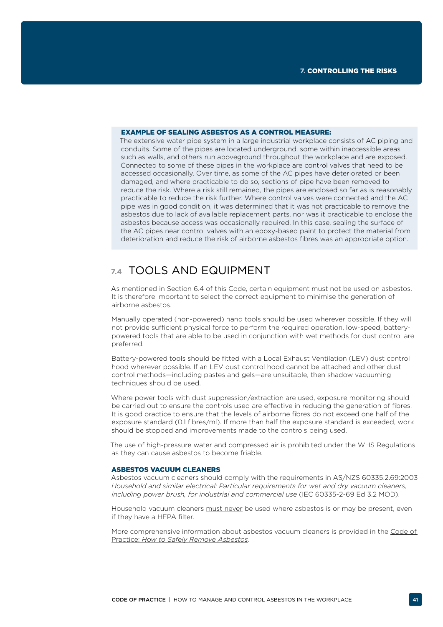#### <span id="page-42-0"></span>EXAMPLE OF SEALING ASBESTOS AS A CONTROL MEASURE:

The extensive water pipe system in a large industrial workplace consists of AC piping and conduits. Some of the pipes are located underground, some within inaccessible areas such as walls, and others run aboveground throughout the workplace and are exposed. Connected to some of these pipes in the workplace are control valves that need to be accessed occasionally. Over time, as some of the AC pipes have deteriorated or been damaged, and where practicable to do so, sections of pipe have been removed to reduce the risk. Where a risk still remained, the pipes are enclosed so far as is reasonably practicable to reduce the risk further. Where control valves were connected and the AC pipe was in good condition, it was determined that it was not practicable to remove the asbestos due to lack of available replacement parts, nor was it practicable to enclose the asbestos because access was occasionally required. In this case, sealing the surface of the AC pipes near control valves with an epoxy-based paint to protect the material from deterioration and reduce the risk of airborne asbestos fibres was an appropriate option.

# **7.4** TOOLS AND EQUIPMENT

As mentioned in Section 6.4 of this Code, certain equipment must not be used on asbestos. It is therefore important to select the correct equipment to minimise the generation of airborne asbestos.

Manually operated (non-powered) hand tools should be used wherever possible. If they will not provide sufficient physical force to perform the required operation, low-speed, batterypowered tools that are able to be used in conjunction with wet methods for dust control are preferred.

Battery-powered tools should be fitted with a Local Exhaust Ventilation (LEV) dust control hood wherever possible. If an LEV dust control hood cannot be attached and other dust control methods—including pastes and gels—are unsuitable, then shadow vacuuming techniques should be used.

Where power tools with dust suppression/extraction are used, exposure monitoring should be carried out to ensure the controls used are effective in reducing the generation of fibres. It is good practice to ensure that the levels of airborne fibres do not exceed one half of the exposure standard (0.1 fibres/ml). If more than half the exposure standard is exceeded, work should be stopped and improvements made to the controls being used.

The use of high-pressure water and compressed air is prohibited under the WHS Regulations as they can cause asbestos to become friable.

#### ASBESTOS VACUUM CLEANERS

Asbestos vacuum cleaners should comply with the requirements in AS/NZS 60335.2.69:2003 *Household and similar electrical: Particular requirements for wet and dry vacuum cleaners, including power brush, for industrial and commercial use* (IEC 60335-2-69 Ed 3.2 MOD).

Household vacuum cleaners must never be used where asbestos is or may be present, even if they have a HEPA filter.

More comprehensive information about asbestos vacuum cleaners is provided in the Code of Practice: *[How to Safely Remove Asbestos](http://www.safeworkaustralia.gov.au/sites/swa/about/publications/pages/safely-remove-asbestos-cop).*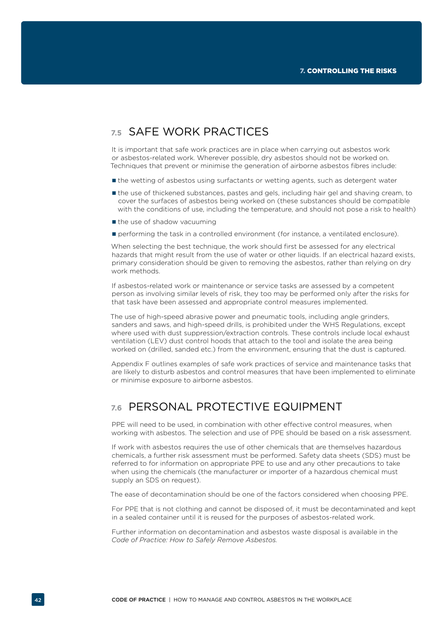# <span id="page-43-0"></span>**7.5** SAFE WORK PRACTICES

It is important that safe work practices are in place when carrying out asbestos work or asbestos-related work. Wherever possible, dry asbestos should not be worked on. Techniques that prevent or minimise the generation of airborne asbestos fibres include:

- the wetting of asbestos using surfactants or wetting agents, such as detergent water
- the use of thickened substances, pastes and gels, including hair gel and shaving cream, to cover the surfaces of asbestos being worked on (these substances should be compatible with the conditions of use, including the temperature, and should not pose a risk to health)
- $\blacksquare$  the use of shadow vacuuming
- **Performing the task in a controlled environment (for instance, a ventilated enclosure).**

When selecting the best technique, the work should first be assessed for any electrical hazards that might result from the use of water or other liquids. If an electrical hazard exists, primary consideration should be given to removing the asbestos, rather than relying on dry work methods.

If asbestos-related work or maintenance or service tasks are assessed by a competent person as involving similar levels of risk, they too may be performed only after the risks for that task have been assessed and appropriate control measures implemented.

The use of high-speed abrasive power and pneumatic tools, including angle grinders, sanders and saws, and high-speed drills, is prohibited under the WHS Regulations, except where used with dust suppression/extraction controls. These controls include local exhaust ventilation (LEV) dust control hoods that attach to the tool and isolate the area being worked on (drilled, sanded etc.) from the environment, ensuring that the dust is captured.

Appendix F outlines examples of safe work practices of service and maintenance tasks that are likely to disturb asbestos and control measures that have been implemented to eliminate or minimise exposure to airborne asbestos.

# **7.6** PERSONAL PROTECTIVE EQUIPMENT

PPE will need to be used, in combination with other effective control measures, when working with asbestos. The selection and use of PPE should be based on a risk assessment.

If work with asbestos requires the use of other chemicals that are themselves hazardous chemicals, a further risk assessment must be performed. Safety data sheets (SDS) must be referred to for information on appropriate PPE to use and any other precautions to take when using the chemicals (the manufacturer or importer of a hazardous chemical must supply an SDS on request).

The ease of decontamination should be one of the factors considered when choosing PPE.

For PPE that is not clothing and cannot be disposed of, it must be decontaminated and kept in a sealed container until it is reused for the purposes of asbestos-related work.

Further information on decontamination and asbestos waste disposal is available in the *Code of Practice: How to Safely Remove Asbestos.*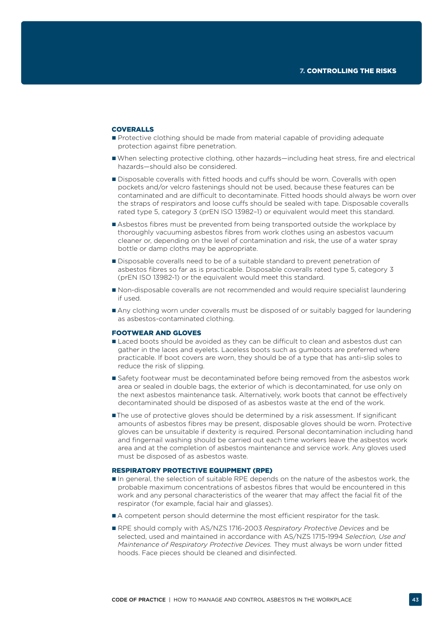### COVEDALLS

- Protective clothing should be made from material capable of providing adequate protection against fibre penetration.
- When selecting protective clothing, other hazards—including heat stress, fire and electrical hazards—should also be considered.
- Disposable coveralls with fitted hoods and cuffs should be worn. Coveralls with open pockets and/or velcro fastenings should not be used, because these features can be contaminated and are difficult to decontaminate. Fitted hoods should always be worn over the straps of respirators and loose cuffs should be sealed with tape. Disposable coveralls rated type 5, category 3 (prEN ISO 13982–1) or equivalent would meet this standard.
- Asbestos fibres must be prevented from being transported outside the workplace by thoroughly vacuuming asbestos fibres from work clothes using an asbestos vacuum cleaner or, depending on the level of contamination and risk, the use of a water spray bottle or damp cloths may be appropriate.
- Disposable coveralls need to be of a suitable standard to prevent penetration of asbestos fibres so far as is practicable. Disposable coveralls rated type 5, category 3 (prEN ISO 13982-1) or the equivalent would meet this standard.
- Non-disposable coveralls are not recommended and would require specialist laundering if used.
- Any clothing worn under coveralls must be disposed of or suitably bagged for laundering as asbestos-contaminated clothing.

#### FOOTWEAR AND GLOVES

- Laced boots should be avoided as they can be difficult to clean and asbestos dust can gather in the laces and eyelets. Laceless boots such as gumboots are preferred where practicable. If boot covers are worn, they should be of a type that has anti-slip soles to reduce the risk of slipping.
- Safety footwear must be decontaminated before being removed from the asbestos work area or sealed in double bags, the exterior of which is decontaminated, for use only on the next asbestos maintenance task. Alternatively, work boots that cannot be effectively decontaminated should be disposed of as asbestos waste at the end of the work.
- The use of protective gloves should be determined by a risk assessment. If significant amounts of asbestos fibres may be present, disposable gloves should be worn. Protective gloves can be unsuitable if dexterity is required. Personal decontamination including hand and fingernail washing should be carried out each time workers leave the asbestos work area and at the completion of asbestos maintenance and service work. Any gloves used must be disposed of as asbestos waste.

### RESPIRATORY PROTECTIVE EQUIPMENT (RPE)

- In general, the selection of suitable RPE depends on the nature of the asbestos work, the probable maximum concentrations of asbestos fibres that would be encountered in this work and any personal characteristics of the wearer that may affect the facial fit of the respirator (for example, facial hair and glasses).
- A competent person should determine the most efficient respirator for the task.
- RPE should comply with AS/NZS 1716-2003 *Respiratory Protective Devices* and be selected, used and maintained in accordance with AS/NZS 1715-1994 *Selection, Use and Maintenance of Respiratory Protective Devices.* They must always be worn under fitted hoods. Face pieces should be cleaned and disinfected.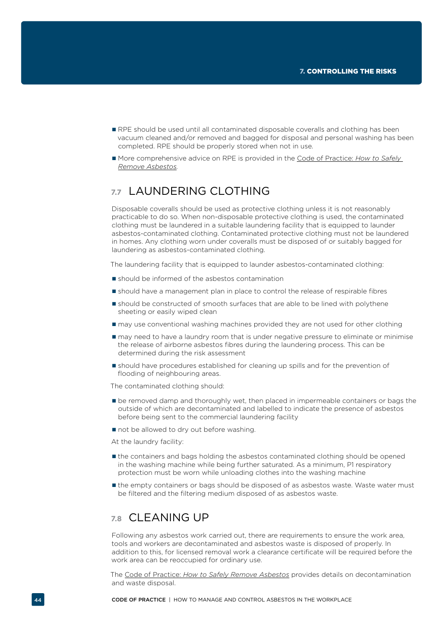- <span id="page-45-0"></span>RPE should be used until all contaminated disposable coveralls and clothing has been vacuum cleaned and/or removed and bagged for disposal and personal washing has been completed. RPE should be properly stored when not in use.
- More comprehensive advice on RPE is provided in the [Code of Practice:](http://www.safeworkaustralia.gov.au/sites/swa/about/publications/pages/safely-remove-asbestos-cop) *How to Safely [Remove Asbestos](http://www.safeworkaustralia.gov.au/sites/swa/about/publications/pages/safely-remove-asbestos-cop).*

# **7.7** LAUNDERING CLOTHING

Disposable coveralls should be used as protective clothing unless it is not reasonably practicable to do so. When non-disposable protective clothing is used, the contaminated clothing must be laundered in a suitable laundering facility that is equipped to launder asbestos-contaminated clothing. Contaminated protective clothing must not be laundered in homes. Any clothing worn under coveralls must be disposed of or suitably bagged for laundering as asbestos-contaminated clothing.

The laundering facility that is equipped to launder asbestos-contaminated clothing:

- should be informed of the asbestos contamination
- should have a management plan in place to control the release of respirable fibres
- should be constructed of smooth surfaces that are able to be lined with polythene sheeting or easily wiped clean
- $\blacksquare$  may use conventional washing machines provided they are not used for other clothing
- $\blacksquare$  may need to have a laundry room that is under negative pressure to eliminate or minimise the release of airborne asbestos fibres during the laundering process. This can be determined during the risk assessment
- should have procedures established for cleaning up spills and for the prevention of flooding of neighbouring areas.

The contaminated clothing should:

- $\blacksquare$  be removed damp and thoroughly wet, then placed in impermeable containers or bags the outside of which are decontaminated and labelled to indicate the presence of asbestos before being sent to the commercial laundering facility
- not be allowed to dry out before washing.

At the laundry facility:

- the containers and bags holding the asbestos contaminated clothing should be opened in the washing machine while being further saturated. As a minimum, P1 respiratory protection must be worn while unloading clothes into the washing machine
- $\blacksquare$  the empty containers or bags should be disposed of as asbestos waste. Waste water must be filtered and the filtering medium disposed of as asbestos waste.

## **7.8** CLEANING UP

Following any asbestos work carried out, there are requirements to ensure the work area, tools and workers are decontaminated and asbestos waste is disposed of properly. In addition to this, for licensed removal work a clearance certificate will be required before the work area can be reoccupied for ordinary use.

The Code of Practice: *[How to Safely Remove Asbestos](http://www.safeworkaustralia.gov.au/sites/swa/about/publications/pages/safely-remove-asbestos-cop)* provides details on decontamination and waste disposal.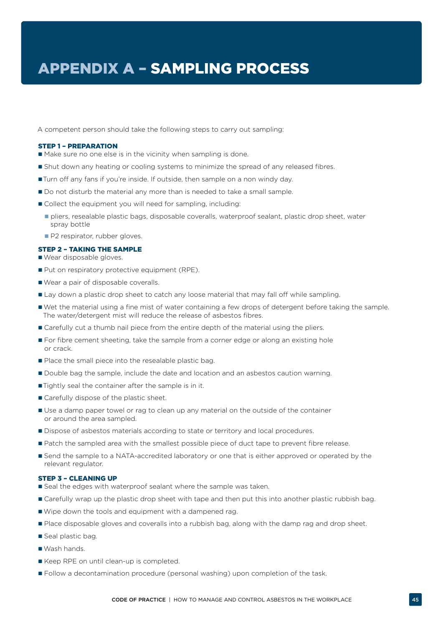<span id="page-46-0"></span>A competent person should take the following steps to carry out sampling:

#### STEP 1 – PREPARATION

- Make sure no one else is in the vicinity when sampling is done.
- Shut down any heating or cooling systems to minimize the spread of any released fibres.
- Turn off any fans if you're inside. If outside, then sample on a non windy day.
- Do not disturb the material any more than is needed to take a small sample.
- Collect the equipment you will need for sampling, including:
	- pliers, resealable plastic bags, disposable coveralls, waterproof sealant, plastic drop sheet, water spray bottle
	- P2 respirator, rubber gloves.

### STEP 2 – TAKING THE SAMPLE

- Wear disposable gloves.
- Put on respiratory protective equipment (RPE).
- Wear a pair of disposable coveralls.
- Lay down a plastic drop sheet to catch any loose material that may fall off while sampling.
- Wet the material using a fine mist of water containing a few drops of detergent before taking the sample. The water/detergent mist will reduce the release of asbestos fibres.
- **Carefully cut a thumb nail piece from the entire depth of the material using the pliers.**
- **For fibre cement sheeting, take the sample from a corner edge or along an existing hole** or crack.
- Place the small piece into the resealable plastic bag.
- Double bag the sample, include the date and location and an asbestos caution warning.
- Tightly seal the container after the sample is in it.
- Carefully dispose of the plastic sheet.
- Use a damp paper towel or rag to clean up any material on the outside of the container or around the area sampled.
- Dispose of asbestos materials according to state or territory and local procedures.
- **Patch the sampled area with the smallest possible piece of duct tape to prevent fibre release.**
- **Send the sample to a NATA-accredited laboratory or one that is either approved or operated by the** relevant regulator.

#### STEP 3 – CLEANING UP

- Seal the edges with waterproof sealant where the sample was taken.
- **Carefully wrap up the plastic drop sheet with tape and then put this into another plastic rubbish bag.**
- Wipe down the tools and equipment with a dampened rag.
- **Place disposable gloves and coveralls into a rubbish bag, along with the damp rag and drop sheet.**
- Seal plastic bag.
- Wash hands.
- Keep RPE on until clean-up is completed.
- **Follow a decontamination procedure (personal washing) upon completion of the task.**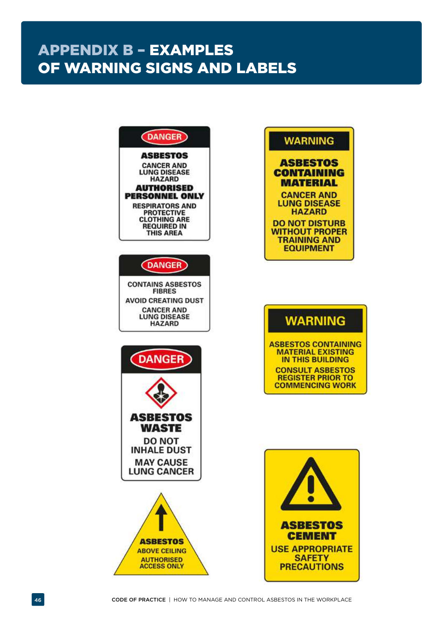# <span id="page-47-0"></span>APPENDIX B – EXAMPLES OF WARNING SIGNS AND LABELS

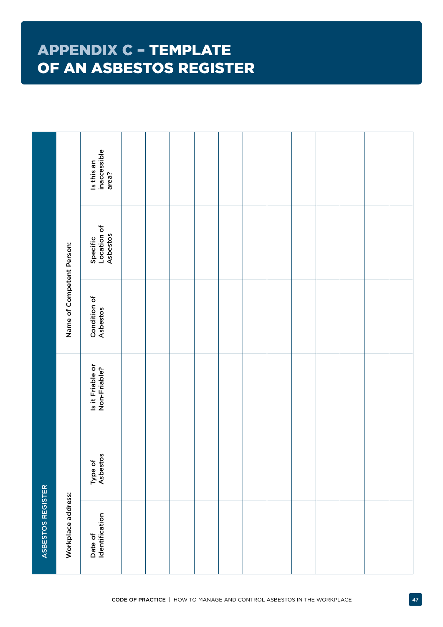# <span id="page-48-0"></span>APPENDIX C – TEMPLATE OF AN ASBESTOS REGISTER

|                   |                           | Is this an<br>inaccessible<br>area? |  |  |  |  |  |  |
|-------------------|---------------------------|-------------------------------------|--|--|--|--|--|--|
|                   |                           | Specific<br>Location of<br>Asbestos |  |  |  |  |  |  |
|                   | Name of Competent Person: | Condition of<br>Asbestos            |  |  |  |  |  |  |
|                   |                           | Is it Friable or<br>Non-Friable?    |  |  |  |  |  |  |
|                   |                           | Type of<br>Asbestos                 |  |  |  |  |  |  |
| ASBESTOS REGISTER | Workplace address:        | Date of<br>Identification           |  |  |  |  |  |  |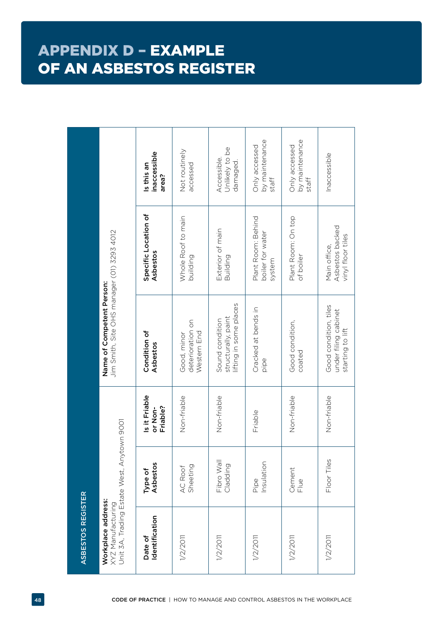# <span id="page-49-0"></span>APPENDIX D – EXAMPLE OF AN ASBESTOS REGISTER

| by maintenance<br>by maintenance<br>Only accessed<br>Only accessed<br>Unlikely to be<br>Not routinely<br>inaccessible<br>Inaccessible<br>Accessible.<br>damaged.<br>accessed<br>Is this an<br>area?<br>staff<br>staff<br>Specific Location of<br>Whole Roof to main<br>Plant Room: On top<br>Plant Room: Behind<br>Asbestos backed<br>Exterior of main<br>Jim Smith, Site OHS manager (01) 3293 4012<br>boiler for water<br>vinyl floor tiles<br>Main office,<br>Asbestos<br>of boiler<br>building<br>Building<br>system<br>Name of Competent Person:<br>lifting in some places<br>Good condition, tiles<br>Cracked at bends in<br>under filing cabinet<br>structurally, paint<br>Sound condition<br>deterioration on<br>Good condition,<br>starting to lift<br>Condition of<br>Western End<br>Good, minor<br>Asbestos<br>coated<br>pipe | Non-friable<br>Non-friable<br>Non-friable<br>Non-friable<br>Friable | Floor Tiles<br>Fibro Wal<br>Insulation<br>Cladding<br>Cement<br>Pipe<br>$\frac{1}{2}$ | 1/2/2011<br>1/2/2011<br>1/2/2011<br>1/2/2011 | Is it Friable<br>Friable?<br>or Non-<br>Unit 3A, Trading Estate West, Anytown 9001<br>Asbestos<br>Type of<br>XYZ Manufacturing<br>Identification<br>Date of | Sheeting<br>AC Roof<br>Workplace address:<br>1/2/2011 |  |  |  |  |
|------------------------------------------------------------------------------------------------------------------------------------------------------------------------------------------------------------------------------------------------------------------------------------------------------------------------------------------------------------------------------------------------------------------------------------------------------------------------------------------------------------------------------------------------------------------------------------------------------------------------------------------------------------------------------------------------------------------------------------------------------------------------------------------------------------------------------------------|---------------------------------------------------------------------|---------------------------------------------------------------------------------------|----------------------------------------------|-------------------------------------------------------------------------------------------------------------------------------------------------------------|-------------------------------------------------------|--|--|--|--|
|------------------------------------------------------------------------------------------------------------------------------------------------------------------------------------------------------------------------------------------------------------------------------------------------------------------------------------------------------------------------------------------------------------------------------------------------------------------------------------------------------------------------------------------------------------------------------------------------------------------------------------------------------------------------------------------------------------------------------------------------------------------------------------------------------------------------------------------|---------------------------------------------------------------------|---------------------------------------------------------------------------------------|----------------------------------------------|-------------------------------------------------------------------------------------------------------------------------------------------------------------|-------------------------------------------------------|--|--|--|--|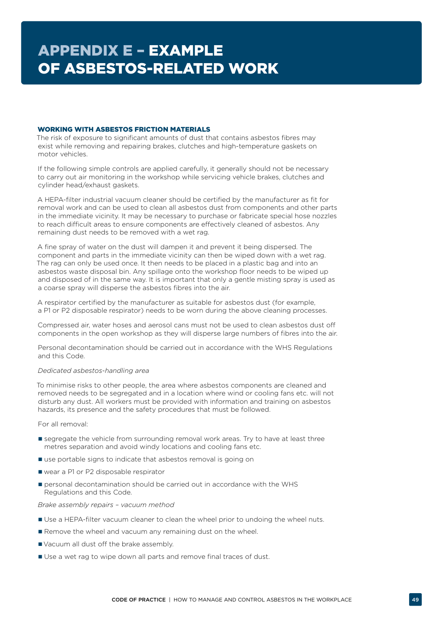### <span id="page-50-0"></span>WORKING WITH ASBESTOS FRICTION MATERIALS

The risk of exposure to significant amounts of dust that contains asbestos fibres may exist while removing and repairing brakes, clutches and high-temperature gaskets on motor vehicles.

If the following simple controls are applied carefully, it generally should not be necessary to carry out air monitoring in the workshop while servicing vehicle brakes, clutches and cylinder head/exhaust gaskets.

A HEPA-filter industrial vacuum cleaner should be certified by the manufacturer as fit for removal work and can be used to clean all asbestos dust from components and other parts in the immediate vicinity. It may be necessary to purchase or fabricate special hose nozzles to reach difficult areas to ensure components are effectively cleaned of asbestos. Any remaining dust needs to be removed with a wet rag.

A fine spray of water on the dust will dampen it and prevent it being dispersed. The component and parts in the immediate vicinity can then be wiped down with a wet rag. The rag can only be used once. It then needs to be placed in a plastic bag and into an asbestos waste disposal bin. Any spillage onto the workshop floor needs to be wiped up and disposed of in the same way. It is important that only a gentle misting spray is used as a coarse spray will disperse the asbestos fibres into the air.

A respirator certified by the manufacturer as suitable for asbestos dust (for example, a P1 or P2 disposable respirator) needs to be worn during the above cleaning processes.

Compressed air, water hoses and aerosol cans must not be used to clean asbestos dust off components in the open workshop as they will disperse large numbers of fibres into the air.

Personal decontamination should be carried out in accordance with the WHS Regulations and this Code.

### *Dedicated asbestos-handling area*

To minimise risks to other people, the area where asbestos components are cleaned and removed needs to be segregated and in a location where wind or cooling fans etc. will not disturb any dust. All workers must be provided with information and training on asbestos hazards, its presence and the safety procedures that must be followed.

For all removal:

- **E** segregate the vehicle from surrounding removal work areas. Try to have at least three metres separation and avoid windy locations and cooling fans etc.
- use portable signs to indicate that asbestos removal is going on
- wear a P1 or P2 disposable respirator
- personal decontamination should be carried out in accordance with the WHS Regulations and this Code.

### *Brake assembly repairs – vacuum method*

- Use a HEPA-filter vacuum cleaner to clean the wheel prior to undoing the wheel nuts.
- Remove the wheel and vacuum any remaining dust on the wheel.
- Vacuum all dust off the brake assembly.
- Use a wet rag to wipe down all parts and remove final traces of dust.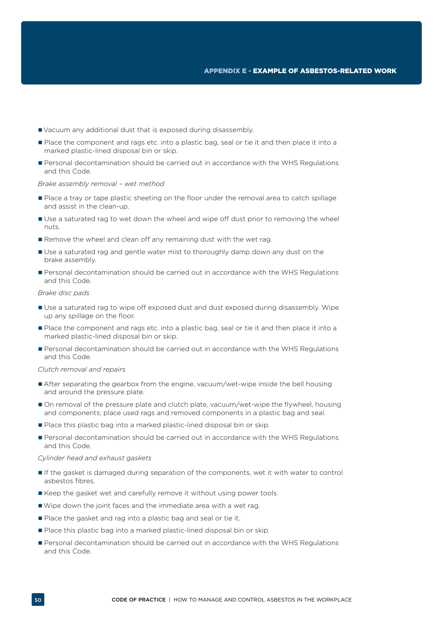- Vacuum any additional dust that is exposed during disassembly.
- Place the component and rags etc. into a plastic bag, seal or tie it and then place it into a marked plastic-lined disposal bin or skip.
- **Personal decontamination should be carried out in accordance with the WHS Regulations** and this Code.

### *Brake assembly removal – wet method*

- **Place a tray or tape plastic sheeting on the floor under the removal area to catch spillage** and assist in the clean-up.
- Use a saturated rag to wet down the wheel and wipe off dust prior to removing the wheel nuts.
- Remove the wheel and clean off any remaining dust with the wet rag.
- Use a saturated rag and gentle water mist to thoroughly damp down any dust on the brake assembly.
- **Personal decontamination should be carried out in accordance with the WHS Regulations** and this Code.

### *Brake disc pads*

- Use a saturated rag to wipe off exposed dust and dust exposed during disassembly. Wipe up any spillage on the floor.
- Place the component and rags etc. into a plastic bag, seal or tie it and then place it into a marked plastic-lined disposal bin or skip.
- **Personal decontamination should be carried out in accordance with the WHS Regulations** and this Code.

### *Clutch removal and repairs*

- After separating the gearbox from the engine, vacuum/wet-wipe inside the bell housing and around the pressure plate.
- On removal of the pressure plate and clutch plate, vacuum/wet-wipe the flywheel, housing and components; place used rags and removed components in a plastic bag and seal.
- Place this plastic bag into a marked plastic-lined disposal bin or skip.
- **Personal decontamination should be carried out in accordance with the WHS Regulations** and this Code.

#### *Cylinder head and exhaust gaskets*

- If the gasket is damaged during separation of the components, wet it with water to control asbestos fibres.
- Keep the gasket wet and carefully remove it without using power tools.
- Wipe down the joint faces and the immediate area with a wet rag.
- Place the gasket and rag into a plastic bag and seal or tie it.
- Place this plastic bag into a marked plastic-lined disposal bin or skip.
- Personal decontamination should be carried out in accordance with the WHS Regulations and this Code.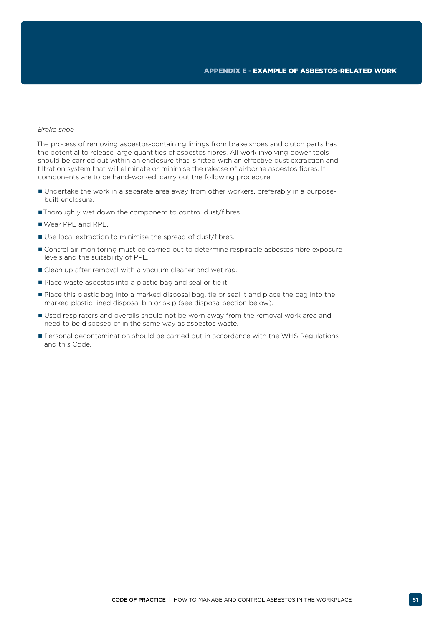#### *Brake shoe*

The process of removing asbestos-containing linings from brake shoes and clutch parts has the potential to release large quantities of asbestos fibres. All work involving power tools should be carried out within an enclosure that is fitted with an effective dust extraction and filtration system that will eliminate or minimise the release of airborne asbestos fibres. If components are to be hand-worked, carry out the following procedure:

- Undertake the work in a separate area away from other workers, preferably in a purposebuilt enclosure.
- Thoroughly wet down the component to control dust/fibres.
- Wear PPE and RPE.
- Use local extraction to minimise the spread of dust/fibres.
- Control air monitoring must be carried out to determine respirable asbestos fibre exposure levels and the suitability of PPE.
- **Clean up after removal with a vacuum cleaner and wet rag.**
- Place waste asbestos into a plastic bag and seal or tie it.
- Place this plastic bag into a marked disposal bag, tie or seal it and place the bag into the marked plastic-lined disposal bin or skip (see disposal section below).
- Used respirators and overalls should not be worn away from the removal work area and need to be disposed of in the same way as asbestos waste.
- **Personal decontamination should be carried out in accordance with the WHS Regulations** and this Code.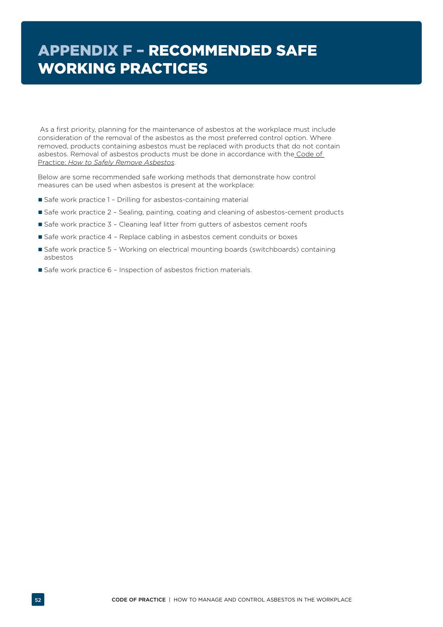# <span id="page-53-0"></span>APPENDIX F – RECOMMENDED SAFE WORKING PRACTICES

 As a first priority, planning for the maintenance of asbestos at the workplace must include consideration of the removal of the asbestos as the most preferred control option. Where removed, products containing asbestos must be replaced with products that do not contain asbestos. Removal of asbestos products must be done in accordance with the [Code of](http://www.safeworkaustralia.gov.au/sites/swa/about/publications/pages/safely-remove-asbestos-cop)  Practice: *[How to Safely Remove Asbestos](http://www.safeworkaustralia.gov.au/sites/swa/about/publications/pages/safely-remove-asbestos-cop)*.

Below are some recommended safe working methods that demonstrate how control measures can be used when asbestos is present at the workplace:

- Safe work practice 1 Drilling for asbestos-containing material
- Safe work practice 2 Sealing, painting, coating and cleaning of asbestos-cement products
- Safe work practice 3 Cleaning leaf litter from gutters of asbestos cement roofs
- Safe work practice 4 Replace cabling in asbestos cement conduits or boxes
- Safe work practice 5 Working on electrical mounting boards (switchboards) containing asbestos
- Safe work practice 6 Inspection of asbestos friction materials.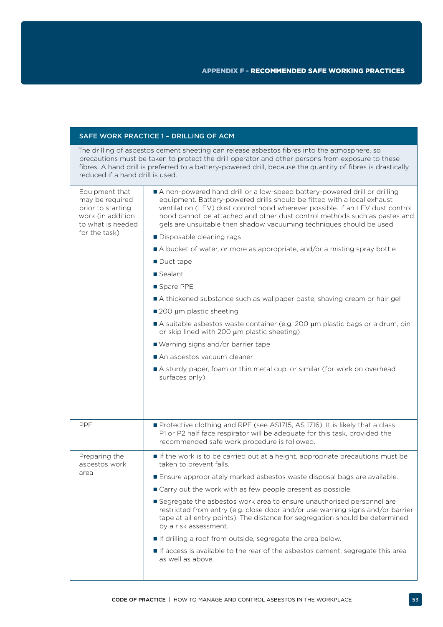## SAFE WORK PRACTICE 1 – DRILLING OF ACM

The drilling of asbestos cement sheeting can release asbestos fibres into the atmosphere, so precautions must be taken to protect the drill operator and other persons from exposure to these fibres. A hand drill is preferred to a battery-powered drill, because the quantity of fibres is drastically reduced if a hand drill is used.

| Equipment that<br>may be required<br>prior to starting<br>work (in addition<br>to what is needed | A non-powered hand drill or a low-speed battery-powered drill or drilling<br>equipment. Battery-powered drills should be fitted with a local exhaust<br>ventilation (LEV) dust control hood wherever possible. If an LEV dust control<br>hood cannot be attached and other dust control methods such as pastes and<br>gels are unsuitable then shadow vacuuming techniques should be used |
|--------------------------------------------------------------------------------------------------|-------------------------------------------------------------------------------------------------------------------------------------------------------------------------------------------------------------------------------------------------------------------------------------------------------------------------------------------------------------------------------------------|
| for the task)                                                                                    | Disposable cleaning rags                                                                                                                                                                                                                                                                                                                                                                  |
|                                                                                                  | A bucket of water, or more as appropriate, and/or a misting spray bottle                                                                                                                                                                                                                                                                                                                  |
|                                                                                                  | Duct tape                                                                                                                                                                                                                                                                                                                                                                                 |
|                                                                                                  | Sealant                                                                                                                                                                                                                                                                                                                                                                                   |
|                                                                                                  | Spare PPE                                                                                                                                                                                                                                                                                                                                                                                 |
|                                                                                                  | A thickened substance such as wallpaper paste, shaving cream or hair gel                                                                                                                                                                                                                                                                                                                  |
|                                                                                                  | ■ 200 µm plastic sheeting                                                                                                                                                                                                                                                                                                                                                                 |
|                                                                                                  | A suitable asbestos waste container (e.g. 200 µm plastic bags or a drum, bin<br>or skip lined with 200 $\mu$ m plastic sheeting)                                                                                                                                                                                                                                                          |
|                                                                                                  | ■ Warning signs and/or barrier tape                                                                                                                                                                                                                                                                                                                                                       |
|                                                                                                  | An asbestos vacuum cleaner                                                                                                                                                                                                                                                                                                                                                                |
|                                                                                                  | A sturdy paper, foam or thin metal cup, or similar (for work on overhead<br>surfaces only).                                                                                                                                                                                                                                                                                               |
|                                                                                                  |                                                                                                                                                                                                                                                                                                                                                                                           |
| <b>PPE</b>                                                                                       | Protective clothing and RPE (see AS1715, AS 1716). It is likely that a class<br>P1 or P2 half face respirator will be adequate for this task, provided the<br>recommended safe work procedure is followed.                                                                                                                                                                                |
| Preparing the<br>asbestos work                                                                   | If the work is to be carried out at a height, appropriate precautions must be<br>taken to prevent falls.                                                                                                                                                                                                                                                                                  |
| area                                                                                             | Ensure appropriately marked asbestos waste disposal bags are available.                                                                                                                                                                                                                                                                                                                   |
|                                                                                                  | ■ Carry out the work with as few people present as possible.                                                                                                                                                                                                                                                                                                                              |
|                                                                                                  | Segregate the asbestos work area to ensure unauthorised personnel are<br>restricted from entry (e.g. close door and/or use warning signs and/or barrier<br>tape at all entry points). The distance for segregation should be determined<br>by a risk assessment.                                                                                                                          |
|                                                                                                  | If drilling a roof from outside, segregate the area below.                                                                                                                                                                                                                                                                                                                                |
|                                                                                                  | If access is available to the rear of the asbestos cement, segregate this area<br>as well as above.                                                                                                                                                                                                                                                                                       |
|                                                                                                  |                                                                                                                                                                                                                                                                                                                                                                                           |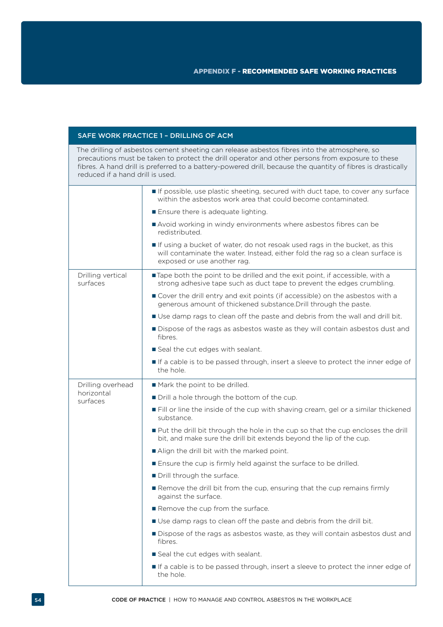### SAFE WORK PRACTICE 1 – DRILLING OF ACM

The drilling of asbestos cement sheeting can release asbestos fibres into the atmosphere, so precautions must be taken to protect the drill operator and other persons from exposure to these fibres. A hand drill is preferred to a battery-powered drill, because the quantity of fibres is drastically reduced if a hand drill is used.

|                                 | If possible, use plastic sheeting, secured with duct tape, to cover any surface<br>within the asbestos work area that could become contaminated.                                            |  |  |
|---------------------------------|---------------------------------------------------------------------------------------------------------------------------------------------------------------------------------------------|--|--|
|                                 | Ensure there is adequate lighting.                                                                                                                                                          |  |  |
|                                 | Avoid working in windy environments where asbestos fibres can be<br>redistributed.                                                                                                          |  |  |
|                                 | If using a bucket of water, do not resoak used rags in the bucket, as this<br>will contaminate the water. Instead, either fold the rag so a clean surface is<br>exposed or use another rag. |  |  |
| Drilling vertical<br>surfaces   | Tape both the point to be drilled and the exit point, if accessible, with a<br>strong adhesive tape such as duct tape to prevent the edges crumbling.                                       |  |  |
|                                 | Cover the drill entry and exit points (if accessible) on the asbestos with a<br>generous amount of thickened substance. Drill through the paste.                                            |  |  |
|                                 | Use damp rags to clean off the paste and debris from the wall and drill bit.                                                                                                                |  |  |
|                                 | Dispose of the rags as asbestos waste as they will contain asbestos dust and<br>fibres.                                                                                                     |  |  |
|                                 | Seal the cut edges with sealant.                                                                                                                                                            |  |  |
|                                 | If a cable is to be passed through, insert a sleeve to protect the inner edge of<br>the hole.                                                                                               |  |  |
| Drilling overhead<br>horizontal | Mark the point to be drilled.                                                                                                                                                               |  |  |
|                                 |                                                                                                                                                                                             |  |  |
| surfaces                        | Drill a hole through the bottom of the cup.                                                                                                                                                 |  |  |
|                                 | Fill or line the inside of the cup with shaving cream, gel or a similar thickened<br>substance.                                                                                             |  |  |
|                                 | ■ Put the drill bit through the hole in the cup so that the cup encloses the drill<br>bit, and make sure the drill bit extends beyond the lip of the cup.                                   |  |  |
|                                 | Align the drill bit with the marked point.                                                                                                                                                  |  |  |
|                                 | Ensure the cup is firmly held against the surface to be drilled.                                                                                                                            |  |  |
|                                 | Drill through the surface.                                                                                                                                                                  |  |  |
|                                 | Remove the drill bit from the cup, ensuring that the cup remains firmly<br>against the surface.                                                                                             |  |  |
|                                 | Remove the cup from the surface.                                                                                                                                                            |  |  |
|                                 | Use damp rags to clean off the paste and debris from the drill bit.                                                                                                                         |  |  |
|                                 | Dispose of the rags as asbestos waste, as they will contain asbestos dust and<br>fibres.                                                                                                    |  |  |
|                                 | Seal the cut edges with sealant.                                                                                                                                                            |  |  |
|                                 | If a cable is to be passed through, insert a sleeve to protect the inner edge of<br>the hole.                                                                                               |  |  |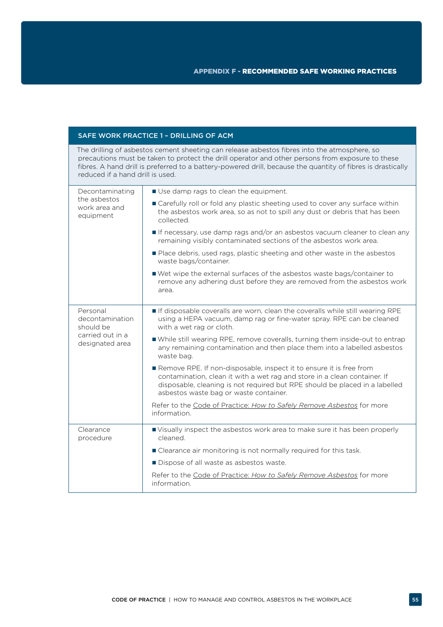### SAFE WORK PRACTICE 1 – DRILLING OF ACM

The drilling of asbestos cement sheeting can release asbestos fibres into the atmosphere, so precautions must be taken to protect the drill operator and other persons from exposure to these fibres. A hand drill is preferred to a battery-powered drill, because the quantity of fibres is drastically reduced if a hand drill is used.

| Decontaminating                                                                 | Use damp rags to clean the equipment.                                                                                                                                                                                                                                     |
|---------------------------------------------------------------------------------|---------------------------------------------------------------------------------------------------------------------------------------------------------------------------------------------------------------------------------------------------------------------------|
| the asbestos<br>work area and<br>equipment                                      | ■ Carefully roll or fold any plastic sheeting used to cover any surface within<br>the asbestos work area, so as not to spill any dust or debris that has been<br>collected.                                                                                               |
|                                                                                 | If necessary, use damp rags and/or an asbestos vacuum cleaner to clean any<br>remaining visibly contaminated sections of the asbestos work area.                                                                                                                          |
|                                                                                 | Place debris, used rags, plastic sheeting and other waste in the asbestos<br>waste bags/container.                                                                                                                                                                        |
|                                                                                 | ■ Wet wipe the external surfaces of the asbestos waste bags/container to<br>remove any adhering dust before they are removed from the asbestos work<br>area.                                                                                                              |
| Personal<br>decontamination<br>should be<br>carried out in a<br>designated area | If disposable coveralls are worn, clean the coveralls while still wearing RPE<br>using a HEPA vacuum, damp rag or fine-water spray. RPE can be cleaned<br>with a wet rag or cloth.                                                                                        |
|                                                                                 | ■ While still wearing RPE, remove coveralls, turning them inside-out to entrap<br>any remaining contamination and then place them into a labelled asbestos<br>waste bag.                                                                                                  |
|                                                                                 | Remove RPE. If non-disposable, inspect it to ensure it is free from<br>contamination, clean it with a wet rag and store in a clean container. If<br>disposable, cleaning is not required but RPE should be placed in a labelled<br>asbestos waste bag or waste container. |
|                                                                                 | Refer to the Code of Practice: How to Safely Remove Asbestos for more<br>information.                                                                                                                                                                                     |
| Clearance<br>procedure                                                          | Visually inspect the asbestos work area to make sure it has been properly<br>cleaned.                                                                                                                                                                                     |
|                                                                                 | ■ Clearance air monitoring is not normally required for this task.                                                                                                                                                                                                        |
|                                                                                 | Dispose of all waste as asbestos waste.                                                                                                                                                                                                                                   |
|                                                                                 | Refer to the Code of Practice: How to Safely Remove Asbestos for more<br>information.                                                                                                                                                                                     |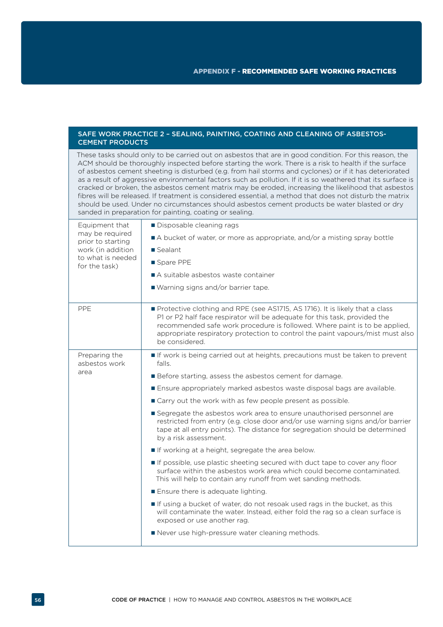### SAFE WORK PRACTICE 2 – SEALING, PAINTING, COATING AND CLEANING OF ASBESTOS-CEMENT PRODUCTS

These tasks should only to be carried out on asbestos that are in good condition. For this reason, the ACM should be thoroughly inspected before starting the work. There is a risk to health if the surface of asbestos cement sheeting is disturbed (e.g. from hail storms and cyclones) or if it has deteriorated as a result of aggressive environmental factors such as pollution. If it is so weathered that its surface is cracked or broken, the asbestos cement matrix may be eroded, increasing the likelihood that asbestos fibres will be released. If treatment is considered essential, a method that does not disturb the matrix should be used. Under no circumstances should asbestos cement products be water blasted or dry sanded in preparation for painting, coating or sealing.

| Equipment that<br>may be required<br>prior to starting<br>work (in addition | Disposable cleaning rags                                                                                                                                                                                                                                                                                                                     |  |
|-----------------------------------------------------------------------------|----------------------------------------------------------------------------------------------------------------------------------------------------------------------------------------------------------------------------------------------------------------------------------------------------------------------------------------------|--|
|                                                                             | A bucket of water, or more as appropriate, and/or a misting spray bottle                                                                                                                                                                                                                                                                     |  |
|                                                                             | Sealant                                                                                                                                                                                                                                                                                                                                      |  |
| to what is needed<br>for the task)                                          | ■ Spare PPE                                                                                                                                                                                                                                                                                                                                  |  |
|                                                                             | A suitable asbestos waste container                                                                                                                                                                                                                                                                                                          |  |
|                                                                             | ■ Warning signs and/or barrier tape.                                                                                                                                                                                                                                                                                                         |  |
| PPE                                                                         | Protective clothing and RPE (see AS1715, AS 1716). It is likely that a class<br>P1 or P2 half face respirator will be adequate for this task, provided the<br>recommended safe work procedure is followed. Where paint is to be applied,<br>appropriate respiratory protection to control the paint vapours/mist must also<br>be considered. |  |
| Preparing the<br>asbestos work                                              | If work is being carried out at heights, precautions must be taken to prevent<br>falls.                                                                                                                                                                                                                                                      |  |
| area                                                                        | Before starting, assess the asbestos cement for damage.                                                                                                                                                                                                                                                                                      |  |
|                                                                             | Ensure appropriately marked asbestos waste disposal bags are available.                                                                                                                                                                                                                                                                      |  |
|                                                                             | ■ Carry out the work with as few people present as possible.                                                                                                                                                                                                                                                                                 |  |
|                                                                             | Segregate the asbestos work area to ensure unauthorised personnel are<br>restricted from entry (e.g. close door and/or use warning signs and/or barrier<br>tape at all entry points). The distance for segregation should be determined<br>by a risk assessment.                                                                             |  |
|                                                                             | If working at a height, segregate the area below.                                                                                                                                                                                                                                                                                            |  |
|                                                                             | If possible, use plastic sheeting secured with duct tape to cover any floor<br>surface within the asbestos work area which could become contaminated.<br>This will help to contain any runoff from wet sanding methods.                                                                                                                      |  |
|                                                                             | Ensure there is adequate lighting.                                                                                                                                                                                                                                                                                                           |  |
|                                                                             | If using a bucket of water, do not resoak used rags in the bucket, as this<br>will contaminate the water. Instead, either fold the rag so a clean surface is<br>exposed or use another rag.                                                                                                                                                  |  |
|                                                                             | Never use high-pressure water cleaning methods.                                                                                                                                                                                                                                                                                              |  |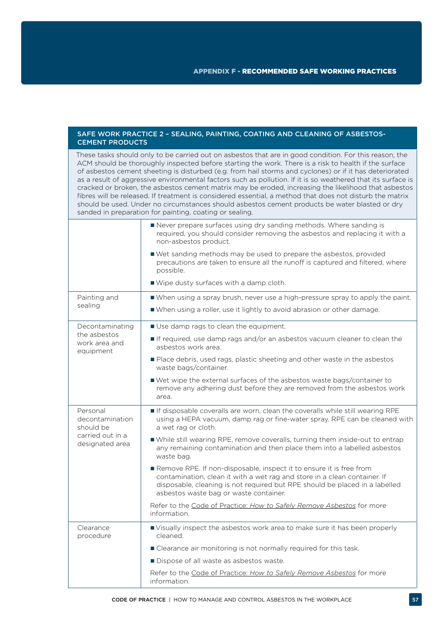### SAFE WORK PRACTICE 2 – SEALING, PAINTING, COATING AND CLEANING OF ASBESTOS-CEMENT PRODUCTS

These tasks should only to be carried out on asbestos that are in good condition. For this reason, the ACM should be thoroughly inspected before starting the work. There is a risk to health if the surface of asbestos cement sheeting is disturbed (e.g. from hail storms and cyclones) or if it has deteriorated as a result of aggressive environmental factors such as pollution. If it is so weathered that its surface is cracked or broken, the asbestos cement matrix may be eroded, increasing the likelihood that asbestos fibres will be released. If treatment is considered essential, a method that does not disturb the matrix should be used. Under no circumstances should asbestos cement products be water blasted or dry sanded in preparation for painting, coating or sealing.

|                                                                                 | Never prepare surfaces using dry sanding methods. Where sanding is<br>required, you should consider removing the asbestos and replacing it with a<br>non-asbestos product.                                                                                                |  |  |
|---------------------------------------------------------------------------------|---------------------------------------------------------------------------------------------------------------------------------------------------------------------------------------------------------------------------------------------------------------------------|--|--|
|                                                                                 | ■ Wet sanding methods may be used to prepare the asbestos, provided<br>precautions are taken to ensure all the runoff is captured and filtered, where<br>possible.                                                                                                        |  |  |
|                                                                                 | ■ Wipe dusty surfaces with a damp cloth.                                                                                                                                                                                                                                  |  |  |
| Painting and                                                                    | ■ When using a spray brush, never use a high-pressure spray to apply the paint.                                                                                                                                                                                           |  |  |
| sealing                                                                         | ■ When using a roller, use it lightly to avoid abrasion or other damage.                                                                                                                                                                                                  |  |  |
| Decontaminating                                                                 | Use damp rags to clean the equipment.                                                                                                                                                                                                                                     |  |  |
| the asbestos<br>work area and<br>equipment                                      | If required, use damp rags and/or an asbestos vacuum cleaner to clean the<br>asbestos work area.                                                                                                                                                                          |  |  |
|                                                                                 | Place debris, used rags, plastic sheeting and other waste in the asbestos<br>waste bags/container.                                                                                                                                                                        |  |  |
|                                                                                 | ■ Wet wipe the external surfaces of the asbestos waste bags/container to<br>remove any adhering dust before they are removed from the asbestos work<br>area.                                                                                                              |  |  |
| Personal<br>decontamination<br>should be<br>carried out in a<br>designated area | If disposable coveralls are worn, clean the coveralls while still wearing RPE<br>using a HEPA vacuum, damp rag or fine-water spray. RPE can be cleaned with<br>a wet rag or cloth.                                                                                        |  |  |
|                                                                                 | While still wearing RPE, remove coveralls, turning them inside-out to entrap<br>any remaining contamination and then place them into a labelled asbestos<br>waste bag.                                                                                                    |  |  |
|                                                                                 | Remove RPE. If non-disposable, inspect it to ensure it is free from<br>contamination, clean it with a wet rag and store in a clean container. If<br>disposable, cleaning is not required but RPE should be placed in a labelled<br>asbestos waste bag or waste container. |  |  |
|                                                                                 | Refer to the Code of Practice: How to Safely Remove Asbestos for more<br>information.                                                                                                                                                                                     |  |  |
| Clearance<br>procedure                                                          | ■ Visually inspect the asbestos work area to make sure it has been properly<br>cleaned.                                                                                                                                                                                   |  |  |
|                                                                                 | ■ Clearance air monitoring is not normally required for this task.                                                                                                                                                                                                        |  |  |
|                                                                                 | Dispose of all waste as asbestos waste.                                                                                                                                                                                                                                   |  |  |
|                                                                                 | Refer to the Code of Practice: How to Safely Remove Asbestos for more<br>information.                                                                                                                                                                                     |  |  |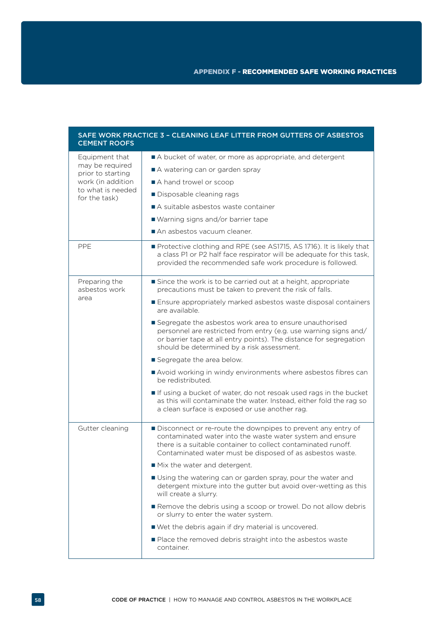| <b>CEMENT ROOFS</b>                                    | SAFE WORK PRACTICE 3 - CLEANING LEAF LITTER FROM GUTTERS OF ASBESTOS                                                                                                                                                                                    |
|--------------------------------------------------------|---------------------------------------------------------------------------------------------------------------------------------------------------------------------------------------------------------------------------------------------------------|
| Equipment that<br>may be required<br>prior to starting | A bucket of water, or more as appropriate, and detergent                                                                                                                                                                                                |
|                                                        | A watering can or garden spray                                                                                                                                                                                                                          |
| work (in addition                                      | A hand trowel or scoop                                                                                                                                                                                                                                  |
| to what is needed<br>for the task)                     | Disposable cleaning rags                                                                                                                                                                                                                                |
|                                                        | A suitable asbestos waste container                                                                                                                                                                                                                     |
|                                                        | ■ Warning signs and/or barrier tape                                                                                                                                                                                                                     |
|                                                        | An asbestos vacuum cleaner.                                                                                                                                                                                                                             |
| <b>PPE</b>                                             | Protective clothing and RPE (see AS1715, AS 1716). It is likely that<br>a class P1 or P2 half face respirator will be adequate for this task,<br>provided the recommended safe work procedure is followed.                                              |
| Preparing the<br>asbestos work                         | Since the work is to be carried out at a height, appropriate<br>precautions must be taken to prevent the risk of falls.                                                                                                                                 |
| area                                                   | Ensure appropriately marked asbestos waste disposal containers<br>are available.                                                                                                                                                                        |
|                                                        | Segregate the asbestos work area to ensure unauthorised<br>personnel are restricted from entry (e.g. use warning signs and/<br>or barrier tape at all entry points). The distance for segregation<br>should be determined by a risk assessment.         |
|                                                        | Segregate the area below.                                                                                                                                                                                                                               |
|                                                        | Avoid working in windy environments where asbestos fibres can<br>be redistributed.                                                                                                                                                                      |
|                                                        | If using a bucket of water, do not resoak used rags in the bucket<br>as this will contaminate the water. Instead, either fold the rag so<br>a clean surface is exposed or use another rag.                                                              |
| Gutter cleaning                                        | Disconnect or re-route the downpipes to prevent any entry of<br>contaminated water into the waste water system and ensure<br>there is a suitable container to collect contaminated runoff.<br>Contaminated water must be disposed of as asbestos waste. |
|                                                        | Mix the water and detergent.                                                                                                                                                                                                                            |
|                                                        | ■ Using the watering can or garden spray, pour the water and<br>detergent mixture into the gutter but avoid over-wetting as this<br>will create a slurry.                                                                                               |
|                                                        | Remove the debris using a scoop or trowel. Do not allow debris<br>or slurry to enter the water system.                                                                                                                                                  |
|                                                        | ■ Wet the debris again if dry material is uncovered.                                                                                                                                                                                                    |
|                                                        | ■ Place the removed debris straight into the asbestos waste<br>container.                                                                                                                                                                               |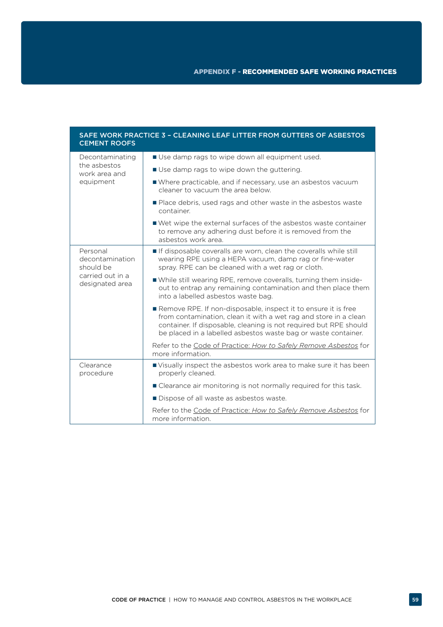| SAFE WORK PRACTICE 3 - CLEANING LEAF LITTER FROM GUTTERS OF ASBESTOS<br><b>CEMENT ROOFS</b> |                                                                                                                                                                                                                                                                           |  |
|---------------------------------------------------------------------------------------------|---------------------------------------------------------------------------------------------------------------------------------------------------------------------------------------------------------------------------------------------------------------------------|--|
| Decontaminating<br>the asbestos<br>work area and                                            | ■ Use damp rags to wipe down all equipment used.                                                                                                                                                                                                                          |  |
|                                                                                             | ■ Use damp rags to wipe down the guttering.                                                                                                                                                                                                                               |  |
| equipment                                                                                   | ■ Where practicable, and if necessary, use an asbestos vacuum<br>cleaner to vacuum the area below.                                                                                                                                                                        |  |
|                                                                                             | ■ Place debris, used rags and other waste in the asbestos waste<br>container.                                                                                                                                                                                             |  |
|                                                                                             | ■ Wet wipe the external surfaces of the asbestos waste container<br>to remove any adhering dust before it is removed from the<br>asbestos work area.                                                                                                                      |  |
| Personal<br>decontamination<br>should be<br>carried out in a<br>designated area             | If disposable coveralls are worn, clean the coveralls while still<br>wearing RPE using a HEPA vacuum, damp rag or fine-water<br>spray. RPE can be cleaned with a wet rag or cloth.                                                                                        |  |
|                                                                                             | While still wearing RPE, remove coveralls, turning them inside-<br>out to entrap any remaining contamination and then place them<br>into a labelled asbestos waste bag.                                                                                                   |  |
|                                                                                             | Remove RPE. If non-disposable, inspect it to ensure it is free<br>from contamination, clean it with a wet rag and store in a clean<br>container. If disposable, cleaning is not required but RPE should<br>be placed in a labelled asbestos waste bag or waste container. |  |
|                                                                                             | Refer to the Code of Practice: How to Safely Remove Asbestos for<br>more information.                                                                                                                                                                                     |  |
| Clearance<br>procedure                                                                      | Visually inspect the asbestos work area to make sure it has been<br>properly cleaned.                                                                                                                                                                                     |  |
|                                                                                             | ■ Clearance air monitoring is not normally required for this task.                                                                                                                                                                                                        |  |
|                                                                                             | Dispose of all waste as asbestos waste.                                                                                                                                                                                                                                   |  |
|                                                                                             | Refer to the Code of Practice: How to Safely Remove Asbestos for<br>more information.                                                                                                                                                                                     |  |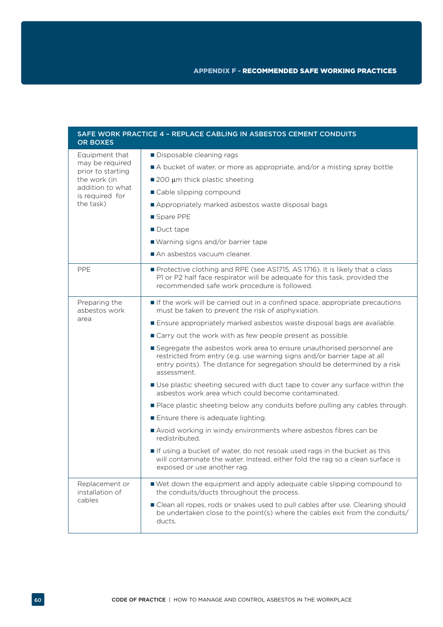| <b>OR BOXES</b>                                        | SAFE WORK PRACTICE 4 - REPLACE CABLING IN ASBESTOS CEMENT CONDUITS                                                                                                                                                                             |  |
|--------------------------------------------------------|------------------------------------------------------------------------------------------------------------------------------------------------------------------------------------------------------------------------------------------------|--|
| Equipment that<br>may be required<br>prior to starting | Disposable cleaning rags                                                                                                                                                                                                                       |  |
|                                                        | A bucket of water, or more as appropriate, and/or a misting spray bottle                                                                                                                                                                       |  |
| the work (in                                           | ■ 200 µm thick plastic sheeting                                                                                                                                                                                                                |  |
| addition to what<br>is required for                    | Cable slipping compound                                                                                                                                                                                                                        |  |
| the task)                                              | Appropriately marked asbestos waste disposal bags                                                                                                                                                                                              |  |
|                                                        | ■ Spare PPE                                                                                                                                                                                                                                    |  |
|                                                        | Duct tape                                                                                                                                                                                                                                      |  |
|                                                        | ■ Warning signs and/or barrier tape                                                                                                                                                                                                            |  |
|                                                        | An asbestos vacuum cleaner.                                                                                                                                                                                                                    |  |
| <b>PPE</b>                                             | Protective clothing and RPE (see AS1715, AS 1716). It is likely that a class<br>P1 or P2 half face respirator will be adequate for this task, provided the<br>recommended safe work procedure is followed.                                     |  |
| Preparing the<br>asbestos work                         | If the work will be carried out in a confined space, appropriate precautions<br>must be taken to prevent the risk of asphyxiation.                                                                                                             |  |
| area                                                   | Ensure appropriately marked asbestos waste disposal bags are available.                                                                                                                                                                        |  |
|                                                        | ■ Carry out the work with as few people present as possible.                                                                                                                                                                                   |  |
|                                                        | Segregate the asbestos work area to ensure unauthorised personnel are<br>restricted from entry (e.g. use warning signs and/or barrier tape at all<br>entry points). The distance for segregation should be determined by a risk<br>assessment. |  |
|                                                        | Use plastic sheeting secured with duct tape to cover any surface within the<br>asbestos work area which could become contaminated.                                                                                                             |  |
|                                                        | Place plastic sheeting below any conduits before pulling any cables through.                                                                                                                                                                   |  |
|                                                        | Ensure there is adequate lighting.                                                                                                                                                                                                             |  |
|                                                        | Avoid working in windy environments where asbestos fibres can be<br>redistributed.                                                                                                                                                             |  |
|                                                        | If using a bucket of water, do not resoak used rags in the bucket as this<br>will contaminate the water. Instead, either fold the rag so a clean surface is<br>exposed or use another rag.                                                     |  |
| Replacement or<br>installation of                      | Wet down the equipment and apply adequate cable slipping compound to<br>the conduits/ducts throughout the process.                                                                                                                             |  |
| cables                                                 | Clean all ropes, rods or snakes used to pull cables after use. Cleaning should<br>be undertaken close to the point(s) where the cables exit from the conduits/<br>ducts.                                                                       |  |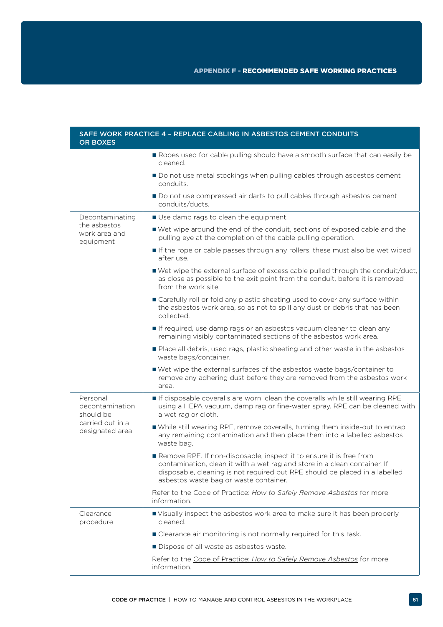| <b>OR BOXES</b>                                                                 | SAFE WORK PRACTICE 4 - REPLACE CABLING IN ASBESTOS CEMENT CONDUITS                                                                                                                                                                                                        |  |  |  |
|---------------------------------------------------------------------------------|---------------------------------------------------------------------------------------------------------------------------------------------------------------------------------------------------------------------------------------------------------------------------|--|--|--|
|                                                                                 | Ropes used for cable pulling should have a smooth surface that can easily be<br>cleaned.                                                                                                                                                                                  |  |  |  |
|                                                                                 | Do not use metal stockings when pulling cables through asbestos cement<br>conduits.                                                                                                                                                                                       |  |  |  |
|                                                                                 | Do not use compressed air darts to pull cables through asbestos cement<br>conduits/ducts.                                                                                                                                                                                 |  |  |  |
| Decontaminating                                                                 | Use damp rags to clean the equipment.                                                                                                                                                                                                                                     |  |  |  |
| the asbestos<br>work area and<br>equipment                                      | ■ Wet wipe around the end of the conduit, sections of exposed cable and the<br>pulling eye at the completion of the cable pulling operation.                                                                                                                              |  |  |  |
|                                                                                 | If the rope or cable passes through any rollers, these must also be wet wiped<br>after use.                                                                                                                                                                               |  |  |  |
|                                                                                 | ■ Wet wipe the external surface of excess cable pulled through the conduit/duct,<br>as close as possible to the exit point from the conduit, before it is removed<br>from the work site.                                                                                  |  |  |  |
|                                                                                 | ■ Carefully roll or fold any plastic sheeting used to cover any surface within<br>the asbestos work area, so as not to spill any dust or debris that has been<br>collected.                                                                                               |  |  |  |
|                                                                                 | If required, use damp rags or an asbestos vacuum cleaner to clean any<br>remaining visibly contaminated sections of the asbestos work area.                                                                                                                               |  |  |  |
|                                                                                 | Place all debris, used rags, plastic sheeting and other waste in the asbestos<br>waste bags/container.                                                                                                                                                                    |  |  |  |
|                                                                                 | Wet wipe the external surfaces of the asbestos waste bags/container to<br>remove any adhering dust before they are removed from the asbestos work<br>area.                                                                                                                |  |  |  |
| Personal<br>decontamination<br>should be<br>carried out in a<br>designated area | If disposable coveralls are worn, clean the coveralls while still wearing RPE<br>using a HEPA vacuum, damp rag or fine-water spray. RPE can be cleaned with<br>a wet rag or cloth.                                                                                        |  |  |  |
|                                                                                 | While still wearing RPE, remove coveralls, turning them inside-out to entrap<br>any remaining contamination and then place them into a labelled asbestos<br>waste bag.                                                                                                    |  |  |  |
|                                                                                 | Remove RPE. If non-disposable, inspect it to ensure it is free from<br>contamination, clean it with a wet rag and store in a clean container. If<br>disposable, cleaning is not required but RPE should be placed in a labelled<br>asbestos waste bag or waste container. |  |  |  |
|                                                                                 | Refer to the Code of Practice: How to Safely Remove Asbestos for more<br>information.                                                                                                                                                                                     |  |  |  |
| Clearance<br>procedure                                                          | Visually inspect the asbestos work area to make sure it has been properly<br>cleaned.                                                                                                                                                                                     |  |  |  |
|                                                                                 | ■ Clearance air monitoring is not normally required for this task.                                                                                                                                                                                                        |  |  |  |
|                                                                                 | Dispose of all waste as asbestos waste.                                                                                                                                                                                                                                   |  |  |  |
|                                                                                 | Refer to the Code of Practice: How to Safely Remove Asbestos for more<br>information.                                                                                                                                                                                     |  |  |  |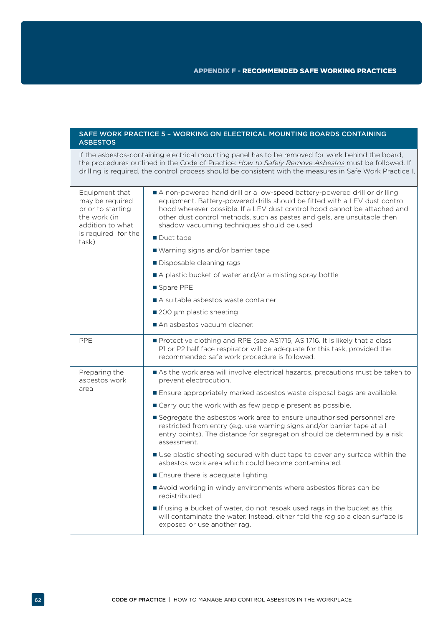| <b>ASBESTOS</b>                                                                                                            | SAFE WORK PRACTICE 5 - WORKING ON ELECTRICAL MOUNTING BOARDS CONTAINING                                                                                                                                                                                                                                                                                                                                                                                                                                                                                                                                                                                                                                                                                                                                                                                                                                                                                                                                               |  |
|----------------------------------------------------------------------------------------------------------------------------|-----------------------------------------------------------------------------------------------------------------------------------------------------------------------------------------------------------------------------------------------------------------------------------------------------------------------------------------------------------------------------------------------------------------------------------------------------------------------------------------------------------------------------------------------------------------------------------------------------------------------------------------------------------------------------------------------------------------------------------------------------------------------------------------------------------------------------------------------------------------------------------------------------------------------------------------------------------------------------------------------------------------------|--|
|                                                                                                                            | If the asbestos-containing electrical mounting panel has to be removed for work behind the board,<br>the procedures outlined in the Code of Practice: How to Safely Remove Asbestos must be followed. If<br>drilling is required, the control process should be consistent with the measures in Safe Work Practice 1.                                                                                                                                                                                                                                                                                                                                                                                                                                                                                                                                                                                                                                                                                                 |  |
| Equipment that<br>may be required<br>prior to starting<br>the work (in<br>addition to what<br>is required for the<br>task) | A non-powered hand drill or a low-speed battery-powered drill or drilling<br>equipment. Battery-powered drills should be fitted with a LEV dust control<br>hood wherever possible. If a LEV dust control hood cannot be attached and<br>other dust control methods, such as pastes and gels, are unsuitable then<br>shadow vacuuming techniques should be used<br>$\blacksquare$ Duct tape<br>■ Warning signs and/or barrier tape<br>Disposable cleaning rags<br>A plastic bucket of water and/or a misting spray bottle<br>Spare PPE<br>A suitable asbestos waste container<br>$\blacksquare$ 200 µm plastic sheeting<br>An asbestos vacuum cleaner.                                                                                                                                                                                                                                                                                                                                                                 |  |
| PPE                                                                                                                        | Protective clothing and RPE (see AS1715, AS 1716. It is likely that a class<br>P1 or P2 half face respirator will be adequate for this task, provided the                                                                                                                                                                                                                                                                                                                                                                                                                                                                                                                                                                                                                                                                                                                                                                                                                                                             |  |
| Preparing the<br>asbestos work<br>area                                                                                     | recommended safe work procedure is followed.<br>As the work area will involve electrical hazards, precautions must be taken to<br>prevent electrocution.<br>Ensure appropriately marked asbestos waste disposal bags are available.<br>■ Carry out the work with as few people present as possible.<br>Segregate the asbestos work area to ensure unauthorised personnel are<br>restricted from entry (e.g. use warning signs and/or barrier tape at all<br>entry points). The distance for segregation should be determined by a risk<br>assessment.<br>Use plastic sheeting secured with duct tape to cover any surface within the<br>asbestos work area which could become contaminated.<br>Ensure there is adequate lighting.<br>Avoid working in windy environments where asbestos fibres can be<br>redistributed.<br>If using a bucket of water, do not resoak used rags in the bucket as this<br>will contaminate the water. Instead, either fold the rag so a clean surface is<br>exposed or use another rag. |  |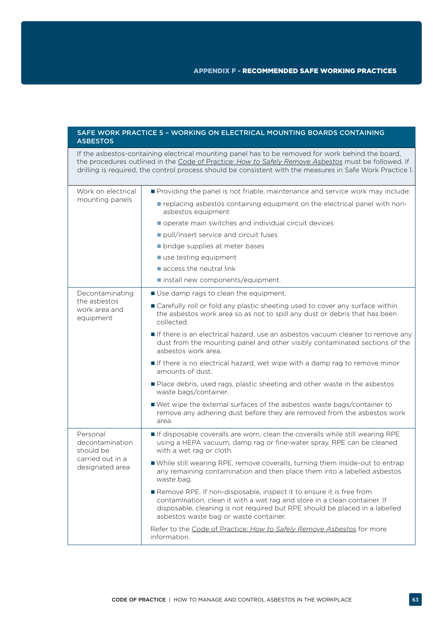| <b>ASBESTOS</b>                                                                 | SAFE WORK PRACTICE 5 - WORKING ON ELECTRICAL MOUNTING BOARDS CONTAINING                                                                                                                                                                                                                                               |
|---------------------------------------------------------------------------------|-----------------------------------------------------------------------------------------------------------------------------------------------------------------------------------------------------------------------------------------------------------------------------------------------------------------------|
|                                                                                 | If the asbestos-containing electrical mounting panel has to be removed for work behind the board,<br>the procedures outlined in the Code of Practice: How to Safely Remove Asbestos must be followed. If<br>drilling is required, the control process should be consistent with the measures in Safe Work Practice 1. |
| Work on electrical                                                              | Providing the panel is not friable, maintenance and service work may include:                                                                                                                                                                                                                                         |
| mounting panels                                                                 | replacing asbestos containing equipment on the electrical panel with non-<br>asbestos equipment                                                                                                                                                                                                                       |
|                                                                                 | operate main switches and individual circuit devices                                                                                                                                                                                                                                                                  |
|                                                                                 | pull/insert service and circuit fuses                                                                                                                                                                                                                                                                                 |
|                                                                                 | • bridge supplies at meter bases                                                                                                                                                                                                                                                                                      |
|                                                                                 | use testing equipment                                                                                                                                                                                                                                                                                                 |
|                                                                                 | $\blacksquare$ access the neutral link                                                                                                                                                                                                                                                                                |
|                                                                                 | install new components/equipment.                                                                                                                                                                                                                                                                                     |
| Decontaminating                                                                 | Use damp rags to clean the equipment.                                                                                                                                                                                                                                                                                 |
| the asbestos<br>work area and<br>equipment                                      | ■ Carefully roll or fold any plastic sheeting used to cover any surface within<br>the asbestos work area so as not to spill any dust or debris that has been<br>collected.                                                                                                                                            |
|                                                                                 | If there is an electrical hazard, use an asbestos vacuum cleaner to remove any<br>dust from the mounting panel and other visibly contaminated sections of the<br>asbestos work area.                                                                                                                                  |
|                                                                                 | If there is no electrical hazard, wet wipe with a damp rag to remove minor<br>amounts of dust.                                                                                                                                                                                                                        |
|                                                                                 | Place debris, used rags, plastic sheeting and other waste in the asbestos<br>waste bags/container.                                                                                                                                                                                                                    |
|                                                                                 | ■ Wet wipe the external surfaces of the asbestos waste bags/container to<br>remove any adhering dust before they are removed from the asbestos work<br>area.                                                                                                                                                          |
| Personal<br>decontamination<br>should be<br>carried out in a<br>designated area | If disposable coveralls are worn, clean the coveralls while still wearing RPE<br>using a HEPA vacuum, damp rag or fine-water spray. RPE can be cleaned<br>with a wet rag or cloth.                                                                                                                                    |
|                                                                                 | While still wearing RPE, remove coveralls, turning them inside-out to entrap<br>any remaining contamination and then place them into a labelled asbestos<br>waste bag.                                                                                                                                                |
|                                                                                 | Remove RPE. If non-disposable, inspect it to ensure it is free from<br>contamination, clean it with a wet rag and store in a clean container. If<br>disposable, cleaning is not required but RPE should be placed in a labelled<br>asbestos waste bag or waste container.                                             |
|                                                                                 | Refer to the Code of Practice: How to Safely Remove Asbestos for more<br>information.                                                                                                                                                                                                                                 |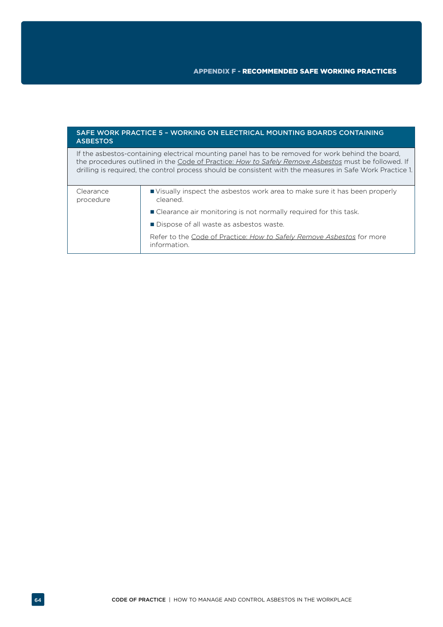## SAFE WORK PRACTICE 5 – WORKING ON ELECTRICAL MOUNTING BOARDS CONTAINING ASBESTOS

If the asbestos-containing electrical mounting panel has to be removed for work behind the board, the procedures outlined in the Code of Practice: *[How to Safely Remove Asbestos](http://www.safeworkaustralia.gov.au/sites/swa/about/publications/pages/safely-remove-asbestos-cop)* must be followed. If drilling is required, the control process should be consistent with the measures in Safe Work Practice 1.

| Clearance<br>procedure | ■ Visually inspect the asbestos work area to make sure it has been properly<br>cleaned. |  |
|------------------------|-----------------------------------------------------------------------------------------|--|
|                        | ■ Clearance air monitoring is not normally required for this task.                      |  |
|                        | ■ Dispose of all waste as asbestos waste.                                               |  |
|                        | Refer to the Code of Practice: How to Safely Remove Asbestos for more<br>information.   |  |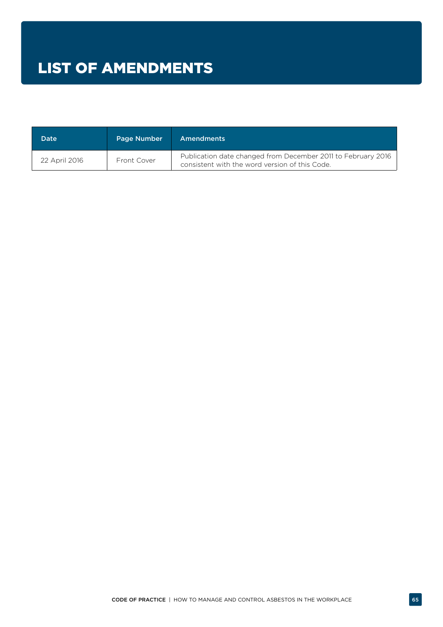| <b>Date</b>   | Page Number | <b>Amendments</b>                                                                                              |
|---------------|-------------|----------------------------------------------------------------------------------------------------------------|
| 22 April 2016 | Front Cover | Publication date changed from December 2011 to February 2016<br>consistent with the word version of this Code. |